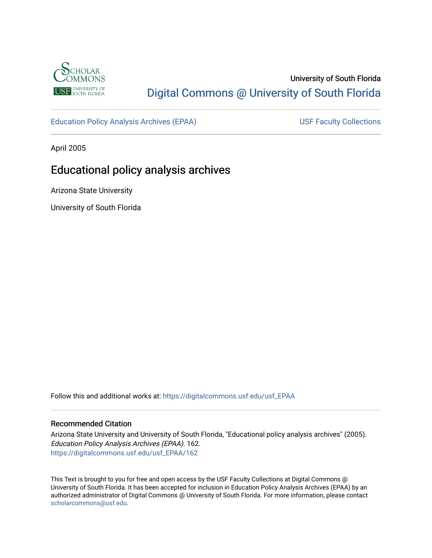

# University of South Florida [Digital Commons @ University of South Florida](https://digitalcommons.usf.edu/)

[Education Policy Analysis Archives \(EPAA\)](https://digitalcommons.usf.edu/usf_EPAA) USF Faculty Collections

April 2005

# Educational policy analysis archives

Arizona State University

University of South Florida

Follow this and additional works at: [https://digitalcommons.usf.edu/usf\\_EPAA](https://digitalcommons.usf.edu/usf_EPAA?utm_source=digitalcommons.usf.edu%2Fusf_EPAA%2F162&utm_medium=PDF&utm_campaign=PDFCoverPages)

#### Recommended Citation

Arizona State University and University of South Florida, "Educational policy analysis archives" (2005). Education Policy Analysis Archives (EPAA). 162. [https://digitalcommons.usf.edu/usf\\_EPAA/162](https://digitalcommons.usf.edu/usf_EPAA/162?utm_source=digitalcommons.usf.edu%2Fusf_EPAA%2F162&utm_medium=PDF&utm_campaign=PDFCoverPages)

This Text is brought to you for free and open access by the USF Faculty Collections at Digital Commons @ University of South Florida. It has been accepted for inclusion in Education Policy Analysis Archives (EPAA) by an authorized administrator of Digital Commons @ University of South Florida. For more information, please contact [scholarcommons@usf.edu.](mailto:scholarcommons@usf.edu)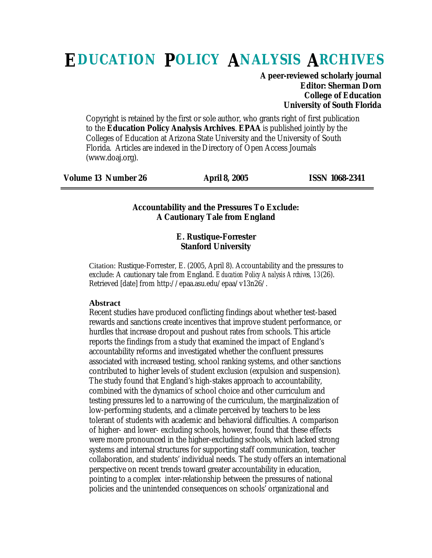# **EDUCATION POLICY ANALYSIS ARCHIVES**

**A peer-reviewed scholarly journal Editor: Sherman Dorn College of Education University of South Florida**

Copyright is retained by the first or sole author, who grants right of first publication to the **Education Policy Analysis Archives**. **EPAA** is published jointly by the Colleges of Education at Arizona State University and the University of South Florida. Articles are indexed in the Directory of Open Access Journals (www.doaj.org).

| <b>Volume 13 Number 26</b> | <b>April 8, 2005</b> | <b>ISSN 1068-2341</b> |
|----------------------------|----------------------|-----------------------|
|----------------------------|----------------------|-----------------------|

#### **Accountability and the Pressures To Exclude: A Cautionary Tale from England**

#### **E. Rustique-Forrester Stanford University**

Citation: Rustique-Forrester, E. (2005, April 8). Accountability and the pressures to exclude: A cautionary tale from England. *Education Policy Analysis Archives, 13*(26). Retrieved [date] from http://epaa.asu.edu/epaa/v13n26/.

#### **Abstract**

Recent studies have produced conflicting findings about whether test-based rewards and sanctions create incentives that improve student performance, or hurdles that increase dropout and pushout rates from schools. This article reports the findings from a study that examined the impact of England's accountability reforms and investigated whether the confluent pressures associated with increased testing, school ranking systems, and other sanctions contributed to higher levels of student exclusion (expulsion and suspension). The study found that England's high-stakes approach to accountability, combined with the dynamics of school choice and other curriculum and testing pressures led to a narrowing of the curriculum, the marginalization of low-performing students, and a climate perceived by teachers to be less tolerant of students with academic and behavioral difficulties. A comparison of higher- and lower- excluding schools, however, found that these effects were more pronounced in the higher-excluding schools, which lacked strong systems and internal structures for supporting staff communication, teacher collaboration, and students' individual needs. The study offers an international perspective on recent trends toward greater accountability in education, pointing to a complex inter-relationship between the pressures of national policies and the unintended consequences on schools' organizational and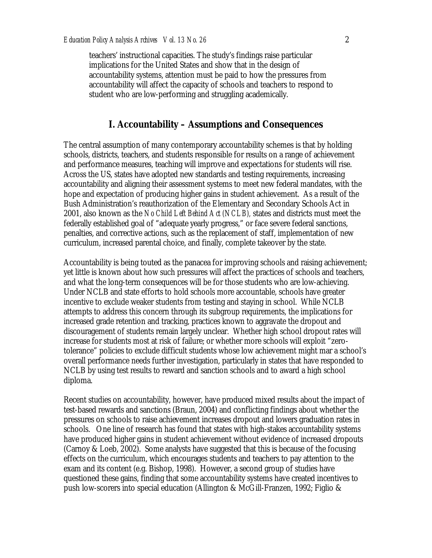teachers' instructional capacities. The study's findings raise particular implications for the United States and show that in the design of accountability systems, attention must be paid to how the pressures from accountability will affect the capacity of schools and teachers to respond to student who are low-performing and struggling academically.

## **I. Accountability – Assumptions and Consequences**

The central assumption of many contemporary accountability schemes is that by holding schools, districts, teachers, and students responsible for results on a range of achievement and performance measures, teaching will improve and expectations for students will rise. Across the US, states have adopted new standards and testing requirements, increasing accountability and aligning their assessment systems to meet new federal mandates, with the hope and expectation of producing higher gains in student achievement. As a result of the Bush Administration's reauthorization of the Elementary and Secondary Schools Act in 2001, also known as the *No Child Left Behind Act (NCLB),* states and districts must meet the federally established goal of "adequate yearly progress," or face severe federal sanctions, penalties, and corrective actions, such as the replacement of staff, implementation of new curriculum, increased parental choice, and finally, complete takeover by the state.

Accountability is being touted as the panacea for improving schools and raising achievement; yet little is known about how such pressures will affect the practices of schools and teachers, and what the long-term consequences will be for those students who are low-achieving. Under NCLB and state efforts to hold schools more accountable, schools have greater incentive to exclude weaker students from testing and staying in school. While NCLB attempts to address this concern through its subgroup requirements, the implications for increased grade retention and tracking, practices known to aggravate the dropout and discouragement of students remain largely unclear. Whether high school dropout rates will increase for students most at risk of failure; or whether more schools will exploit "zerotolerance" policies to exclude difficult students whose low achievement might mar a school's overall performance needs further investigation, particularly in states that have responded to NCLB by using test results to reward and sanction schools and to award a high school diploma.

Recent studies on accountability, however, have produced mixed results about the impact of test-based rewards and sanctions (Braun, 2004) and conflicting findings about whether the pressures on schools to raise achievement increases dropout and lowers graduation rates in schools. One line of research has found that states with high-stakes accountability systems have produced higher gains in student achievement without evidence of increased dropouts (Carnoy & Loeb, 2002). Some analysts have suggested that this is because of the focusing effects on the curriculum, which encourages students and teachers to pay attention to the exam and its content (e.g. Bishop, 1998). However, a second group of studies have questioned these gains, finding that some accountability systems have created incentives to push low-scorers into special education (Allington & McGill-Franzen, 1992; Figlio &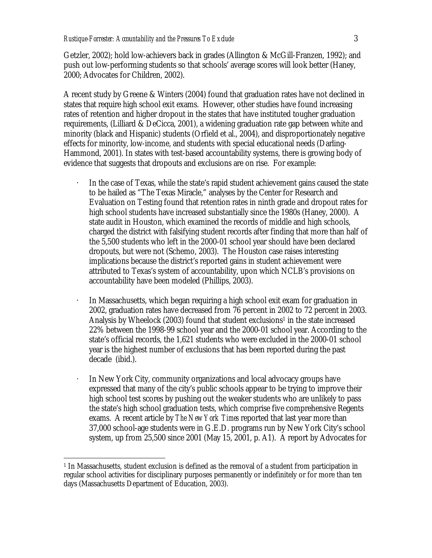Getzler, 2002); hold low-achievers back in grades (Allington & McGill-Franzen, 1992); and push out low-performing students so that schools' average scores will look better (Haney, 2000; Advocates for Children, 2002).

A recent study by Greene & Winters (2004) found that graduation rates have not declined in states that require high school exit exams. However, other studies have found increasing rates of retention and higher dropout in the states that have instituted tougher graduation requirements, (Lilliard & DeCicca, 2001), a widening graduation rate gap between white and minority (black and Hispanic) students (Orfield et al., 2004), and disproportionately negative effects for minority, low-income, and students with special educational needs (Darling-Hammond, 2001). In states with test-based accountability systems, there is growing body of evidence that suggests that dropouts and exclusions are on rise. For example:

- · In the case of Texas, while the state's rapid student achievement gains caused the state to be hailed as "The Texas Miracle," analyses by the Center for Research and Evaluation on Testing found that retention rates in ninth grade and dropout rates for high school students have increased substantially since the 1980s (Haney, 2000). A state audit in Houston, which examined the records of middle and high schools, charged the district with falsifying student records after finding that more than half of the 5,500 students who left in the 2000-01 school year should have been declared dropouts, but were not (Schemo, 2003). The Houston case raises interesting implications because the district's reported gains in student achievement were attributed to Texas's system of accountability, upon which NCLB's provisions on accountability have been modeled (Phillips, 2003).
- · In Massachusetts, which began requiring a high school exit exam for graduation in 2002, graduation rates have decreased from 76 percent in 2002 to 72 percent in 2003. Analysis by Wheelock (2003) found that student exclusions<sup>1</sup> in the state increased 22% between the 1998-99 school year and the 2000-01 school year. According to the state's official records, the 1,621 students who were excluded in the 2000-01 school year is the highest number of exclusions that has been reported during the past decade (ibid.).
- In New York City, community organizations and local advocacy groups have expressed that many of the city's public schools appear to be trying to improve their high school test scores by pushing out the weaker students who are unlikely to pass the state's high school graduation tests, which comprise five comprehensive Regents exams. A recent article by *The New York Times* reported that last year more than 37,000 school-age students were in G.E.D. programs run by New York City's school system, up from 25,500 since 2001 (May 15, 2001, p. A1). A report by Advocates for

<sup>1</sup> <sup>1</sup> In Massachusetts, student exclusion is defined as the removal of a student from participation in regular school activities for disciplinary purposes permanently or indefinitely or for more than ten days (Massachusetts Department of Education, 2003).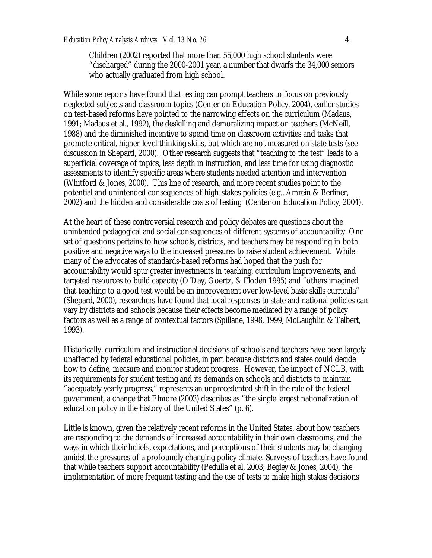Children (2002) reported that more than 55,000 high school students were "discharged" during the 2000-2001 year, a number that dwarfs the 34,000 seniors who actually graduated from high school.

While some reports have found that testing can prompt teachers to focus on previously neglected subjects and classroom topics (Center on Education Policy, 2004), earlier studies on test-based reforms have pointed to the narrowing effects on the curriculum (Madaus, 1991; Madaus et al., 1992), the deskilling and demoralizing impact on teachers (McNeill, 1988) and the diminished incentive to spend time on classroom activities and tasks that promote critical, higher-level thinking skills, but which are not measured on state tests (see discussion in Shepard, 2000). Other research suggests that "teaching to the test" leads to a superficial coverage of topics, less depth in instruction, and less time for using diagnostic assessments to identify specific areas where students needed attention and intervention (Whitford & Jones, 2000). This line of research, and more recent studies point to the potential and unintended consequences of high-stakes policies (e.g., Amrein & Berliner, 2002) and the hidden and considerable costs of testing (Center on Education Policy, 2004).

At the heart of these controversial research and policy debates are questions about the unintended pedagogical and social consequences of different systems of accountability. One set of questions pertains to how schools, districts, and teachers may be responding in both positive and negative ways to the increased pressures to raise student achievement. While many of the advocates of standards-based reforms had hoped that the push for accountability would spur greater investments in teaching, curriculum improvements, and targeted resources to build capacity (O'Day, Goertz, & Floden 1995) and "others imagined that teaching to a good test would be an improvement over low-level basic skills curricula" (Shepard, 2000), researchers have found that local responses to state and national policies can vary by districts and schools because their effects become mediated by a range of policy factors as well as a range of contextual factors (Spillane, 1998, 1999; McLaughlin & Talbert, 1993).

Historically, curriculum and instructional decisions of schools and teachers have been largely unaffected by federal educational policies, in part because districts and states could decide how to define, measure and monitor student progress. However, the impact of NCLB, with its requirements for student testing and its demands on schools and districts to maintain "adequately yearly progress," represents an unprecedented shift in the role of the federal government, a change that Elmore (2003) describes as "the single largest nationalization of education policy in the history of the United States" (p. 6).

Little is known, given the relatively recent reforms in the United States, about how teachers are responding to the demands of increased accountability in their own classrooms, and the ways in which their beliefs, expectations, and perceptions of their students may be changing amidst the pressures of a profoundly changing policy climate. Surveys of teachers have found that while teachers support accountability (Pedulla et al, 2003; Begley & Jones, 2004), the implementation of more frequent testing and the use of tests to make high stakes decisions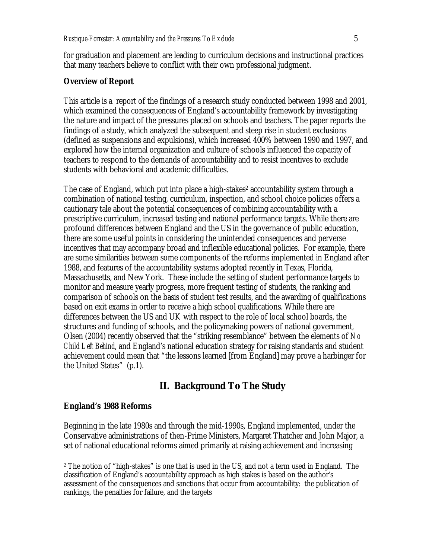for graduation and placement are leading to curriculum decisions and instructional practices that many teachers believe to conflict with their own professional judgment.

### **Overview of Report**

This article is a report of the findings of a research study conducted between 1998 and 2001, which examined the consequences of England's accountability framework by investigating the nature and impact of the pressures placed on schools and teachers. The paper reports the findings of a study, which analyzed the subsequent and steep rise in student exclusions (defined as suspensions and expulsions), which increased 400% between 1990 and 1997, and explored how the internal organization and culture of schools influenced the capacity of teachers to respond to the demands of accountability and to resist incentives to exclude students with behavioral and academic difficulties.

The case of England, which put into place a high-stakes<sup>2</sup> accountability system through a combination of national testing, curriculum, inspection, and school choice policies offers a cautionary tale about the potential consequences of combining accountability with a prescriptive curriculum, increased testing and national performance targets. While there are profound differences between England and the US in the governance of public education, there are some useful points in considering the unintended consequences and perverse incentives that may accompany broad and inflexible educational policies. For example, there are some similarities between some components of the reforms implemented in England after 1988, and features of the accountability systems adopted recently in Texas, Florida, Massachusetts, and New York. These include the setting of student performance targets to monitor and measure yearly progress, more frequent testing of students, the ranking and comparison of schools on the basis of student test results, and the awarding of qualifications based on exit exams in order to receive a high school qualifications. While there are differences between the US and UK with respect to the role of local school boards, the structures and funding of schools, and the policymaking powers of national government, Olsen (2004) recently observed that the "striking resemblance" between the elements of *No Child Left Behind*, and England's national education strategy for raising standards and student achievement could mean that "the lessons learned [from England] may prove a harbinger for the United States" (p.1).

# **II. Background To The Study**

#### **England's 1988 Reforms**

1

Beginning in the late 1980s and through the mid-1990s, England implemented, under the Conservative administrations of then-Prime Ministers, Margaret Thatcher and John Major, a set of national educational reforms aimed primarily at raising achievement and increasing

<sup>2</sup> The notion of "high-stakes" is one that is used in the US, and not a term used in England. The classification of England's accountability approach as high stakes is based on the author's assessment of the consequences and sanctions that occur from accountability: the publication of rankings, the penalties for failure, and the targets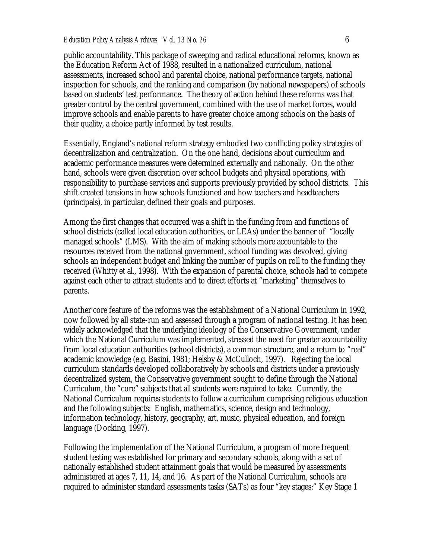public accountability. This package of sweeping and radical educational reforms, known as the Education Reform Act of 1988, resulted in a nationalized curriculum, national assessments, increased school and parental choice, national performance targets, national inspection for schools, and the ranking and comparison (by national newspapers) of schools based on students' test performance. The theory of action behind these reforms was that greater control by the central government, combined with the use of market forces, would improve schools and enable parents to have greater choice among schools on the basis of their quality, a choice partly informed by test results.

Essentially, England's national reform strategy embodied two conflicting policy strategies of decentralization and centralization. On the one hand, decisions about curriculum and academic performance measures were determined externally and nationally. On the other hand, schools were given discretion over school budgets and physical operations, with responsibility to purchase services and supports previously provided by school districts. This shift created tensions in how schools functioned and how teachers and headteachers (principals), in particular, defined their goals and purposes.

Among the first changes that occurred was a shift in the funding from and functions of school districts (called local education authorities, or LEAs) under the banner of "locally managed schools" (LMS). With the aim of making schools more accountable to the resources received from the national government, school funding was devolved, giving schools an independent budget and linking the number of pupils on roll to the funding they received (Whitty et al., 1998). With the expansion of parental choice, schools had to compete against each other to attract students and to direct efforts at "marketing" themselves to parents.

Another core feature of the reforms was the establishment of a National Curriculum in 1992, now followed by all state-run and assessed through a program of national testing. It has been widely acknowledged that the underlying ideology of the Conservative Government, under which the National Curriculum was implemented, stressed the need for greater accountability from local education authorities (school districts), a common structure, and a return to "real" academic knowledge (e.g. Basini, 1981; Helsby & McCulloch, 1997). Rejecting the local curriculum standards developed collaboratively by schools and districts under a previously decentralized system, the Conservative government sought to define through the National Curriculum, the "core" subjects that all students were required to take. Currently, the National Curriculum requires students to follow a curriculum comprising religious education and the following subjects: English, mathematics, science, design and technology, information technology, history, geography, art, music, physical education, and foreign language (Docking, 1997).

Following the implementation of the National Curriculum, a program of more frequent student testing was established for primary and secondary schools, along with a set of nationally established student attainment goals that would be measured by assessments administered at ages 7, 11, 14, and 16. As part of the National Curriculum, schools are required to administer standard assessments tasks (SATs) as four "key stages:" Key Stage 1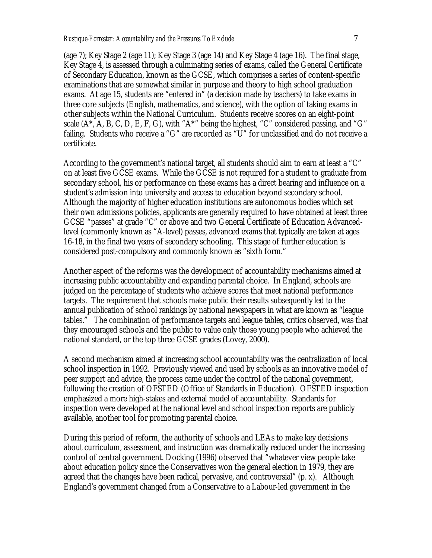(age 7); Key Stage 2 (age 11); Key Stage 3 (age 14) and Key Stage 4 (age 16). The final stage, Key Stage 4, is assessed through a culminating series of exams, called the General Certificate of Secondary Education, known as the GCSE, which comprises a series of content-specific examinations that are somewhat similar in purpose and theory to high school graduation exams. At age 15, students are "entered in" (a decision made by teachers) to take exams in three core subjects (English, mathematics, and science), with the option of taking exams in other subjects within the National Curriculum. Students receive scores on an eight-point scale  $(A^*, A, B, C, D, E, F, G)$ , with " $A^*$ " being the highest, "C" considered passing, and "G" failing. Students who receive a "G" are recorded as "U" for unclassified and do not receive a certificate.

According to the government's national target, all students should aim to earn at least a "C" on at least five GCSE exams. While the GCSE is not required for a student to graduate from secondary school, his or performance on these exams has a direct bearing and influence on a student's admission into university and access to education beyond secondary school. Although the majority of higher education institutions are autonomous bodies which set their own admissions policies, applicants are generally required to have obtained at least three GCSE "passes" at grade "C" or above and two General Certificate of Education Advancedlevel (commonly known as "A-level) passes, advanced exams that typically are taken at ages 16-18, in the final two years of secondary schooling. This stage of further education is considered post-compulsory and commonly known as "sixth form."

Another aspect of the reforms was the development of accountability mechanisms aimed at increasing public accountability and expanding parental choice. In England, schools are judged on the percentage of students who achieve scores that meet national performance targets. The requirement that schools make public their results subsequently led to the annual publication of school rankings by national newspapers in what are known as "league tables." The combination of performance targets and league tables, critics observed, was that they encouraged schools and the public to value only those young people who achieved the national standard, or the top three GCSE grades (Lovey, 2000).

A second mechanism aimed at increasing school accountability was the centralization of local school inspection in 1992. Previously viewed and used by schools as an innovative model of peer support and advice, the process came under the control of the national government, following the creation of OFSTED (Office of Standards in Education). OFSTED inspection emphasized a more high-stakes and external model of accountability. Standards for inspection were developed at the national level and school inspection reports are publicly available, another tool for promoting parental choice.

During this period of reform, the authority of schools and LEAs to make key decisions about curriculum, assessment, and instruction was dramatically reduced under the increasing control of central government. Docking (1996) observed that "whatever view people take about education policy since the Conservatives won the general election in 1979, they are agreed that the changes have been radical, pervasive, and controversial" (p. x). Although England's government changed from a Conservative to a Labour-led government in the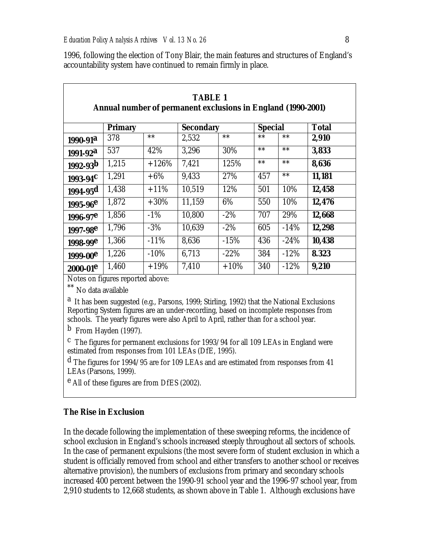| <b>TABLE 1</b><br>Annual number of permanent exclusions in England (1990-2001) |                |         |                  |         |                |        |              |
|--------------------------------------------------------------------------------|----------------|---------|------------------|---------|----------------|--------|--------------|
|                                                                                | <b>Primary</b> |         | <b>Secondary</b> |         | <b>Special</b> |        | <b>Total</b> |
| $1990 - 91^a$                                                                  | 378            | $***$   | 2,532            | $**$    | $***$          | $***$  | 2,910        |
| $1991 - 92^a$                                                                  | 537            | 42%     | 3,296            | 30%     | $***$          | $***$  | 3,833        |
| $1992 - 93b$                                                                   | 1,215          | $+126%$ | 7,421            | 125%    | $***$          | $***$  | 8,636        |
| $1993-94$ <sup>C</sup>                                                         | 1,291          | $+6\%$  | 9.433            | 27%     | 457            | $***$  | 11,181       |
| $1994 - 95d$                                                                   | 1,438          | $+11\%$ | 10,519           | 12%     | 501            | 10%    | 12,458       |
| $1995 - 96e$                                                                   | 1,872          | $+30\%$ | 11,159           | 6%      | 550            | 10%    | 12,476       |
| $1996 - 97e$                                                                   | 1,856          | $-1\%$  | 10,800           | $-2\%$  | 707            | 29%    | 12,668       |
| $1997 - 98e$                                                                   | 1,796          | $-3%$   | 10.639           | $-2\%$  | 605            | $-14%$ | 12,298       |
| $1998 - 99e$                                                                   | 1,366          | $-11%$  | 8,636            | $-15%$  | 436            | $-24%$ | 10,438       |
| 1999-00 <sup>e</sup>                                                           | 1,226          | $-10%$  | 6.713            | $-22\%$ | 384            | $-12%$ | 8.323        |
| $2000 - 01$ <sup>e</sup>                                                       | 1,460          | $+19%$  | 7.410            | $+10%$  | 340            | $-12%$ | 9,210        |

1996, following the election of Tony Blair, the main features and structures of England's accountability system have continued to remain firmly in place.

Notes on figures reported above:

\*\* No data available

a It has been suggested (e.g., Parsons, 1999; Stirling, 1992) that the National Exclusions Reporting System figures are an under-recording, based on incomplete responses from schools. The yearly figures were also April to April, rather than for a school year.

b From Hayden (1997).

c The figures for permanent exclusions for 1993/94 for all 109 LEAs in England were estimated from responses from 101 LEAs (DfE, 1995).

d The figures for 1994/95 are for 109 LEAs and are estimated from responses from 41 LEAs (Parsons, 1999).

<sup>e</sup> All of these figures are from DfES (2002).

#### **The Rise in Exclusion**

In the decade following the implementation of these sweeping reforms, the incidence of school exclusion in England's schools increased steeply throughout all sectors of schools. In the case of permanent expulsions (the most severe form of student exclusion in which a student is officially removed from school and either transfers to another school or receives alternative provision), the numbers of exclusions from primary and secondary schools increased 400 percent between the 1990-91 school year and the 1996-97 school year, from 2,910 students to 12,668 students, as shown above in Table 1. Although exclusions have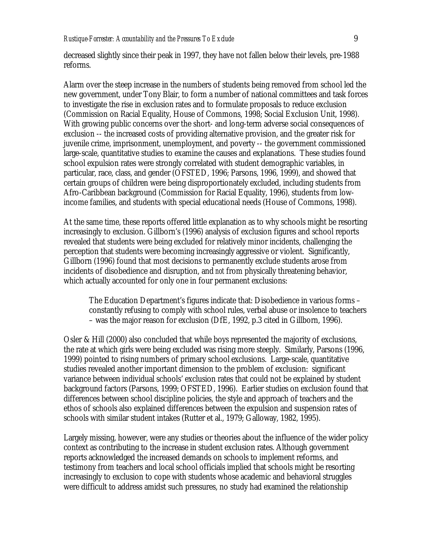decreased slightly since their peak in 1997, they have not fallen below their levels, pre-1988 reforms.

Alarm over the steep increase in the numbers of students being removed from school led the new government, under Tony Blair, to form a number of national committees and task forces to investigate the rise in exclusion rates and to formulate proposals to reduce exclusion (Commission on Racial Equality, House of Commons, 1998; Social Exclusion Unit, 1998). With growing public concerns over the short- and long-term adverse social consequences of exclusion -- the increased costs of providing alternative provision, and the greater risk for juvenile crime, imprisonment, unemployment, and poverty -- the government commissioned large-scale, quantitative studies to examine the causes and explanations. These studies found school expulsion rates were strongly correlated with student demographic variables, in particular, race, class, and gender (OFSTED, 1996; Parsons, 1996, 1999), and showed that certain groups of children were being disproportionately excluded, including students from Afro-Caribbean background (Commission for Racial Equality, 1996), students from lowincome families, and students with special educational needs (House of Commons, 1998).

At the same time, these reports offered little explanation as to why schools might be resorting increasingly to exclusion. Gillborn's (1996) analysis of exclusion figures and school reports revealed that students were being excluded for relatively minor incidents, challenging the perception that students were becoming increasingly aggressive or violent. Significantly, Gillborn (1996) found that most decisions to permanently exclude students arose from incidents of disobedience and disruption, and *not* from physically threatening behavior, which actually accounted for only one in four permanent exclusions:

The Education Department's figures indicate that: Disobedience in various forms – constantly refusing to comply with school rules, verbal abuse or insolence to teachers – was the major reason for exclusion (DfE, 1992, p.3 cited in Gillborn, 1996).

Osler & Hill (2000) also concluded that while boys represented the majority of exclusions, the rate at which girls were being excluded was rising more steeply. Similarly, Parsons (1996, 1999) pointed to rising numbers of primary school exclusions. Large-scale, quantitative studies revealed another important dimension to the problem of exclusion: significant variance between individual schools' exclusion rates that could not be explained by student background factors (Parsons, 1999; OFSTED, 1996). Earlier studies on exclusion found that differences between school discipline policies, the style and approach of teachers and the ethos of schools also explained differences between the expulsion and suspension rates of schools with similar student intakes (Rutter et al., 1979; Galloway, 1982, 1995).

Largely missing, however, were any studies or theories about the influence of the wider policy context as contributing to the increase in student exclusion rates. Although government reports acknowledged the increased demands on schools to implement reforms, and testimony from teachers and local school officials implied that schools might be resorting increasingly to exclusion to cope with students whose academic and behavioral struggles were difficult to address amidst such pressures, no study had examined the relationship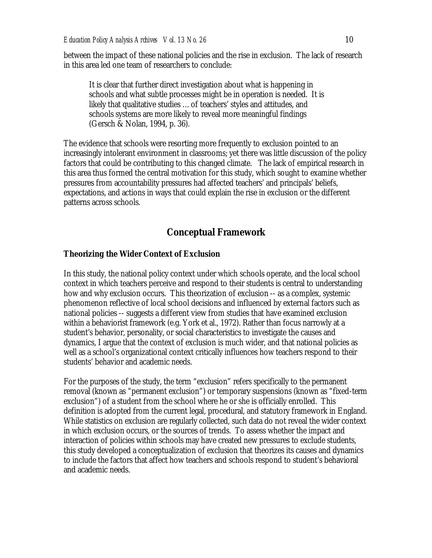between the impact of these national policies and the rise in exclusion. The lack of research in this area led one team of researchers to conclude:

It is clear that further direct investigation about what is happening in schools and what subtle processes might be in operation is needed. It is likely that qualitative studies …of teachers' styles and attitudes, and schools systems are more likely to reveal more meaningful findings (Gersch & Nolan, 1994, p. 36).

The evidence that schools were resorting more frequently to exclusion pointed to an increasingly intolerant environment in classrooms; yet there was little discussion of the policy factors that could be contributing to this changed climate. The lack of empirical research in this area thus formed the central motivation for this study, which sought to examine whether pressures from accountability pressures had affected teachers' and principals' beliefs, expectations, and actions in ways that could explain the rise in exclusion or the different patterns across schools.

# **Conceptual Framework**

#### **Theorizing the Wider Context of Exclusion**

In this study, the national policy context under which schools operate, and the local school context in which teachers perceive and respond to their students is central to understanding how and why exclusion occurs. This theorization of exclusion -- as a complex, systemic phenomenon reflective of local school decisions and influenced by external factors such as national policies -- suggests a different view from studies that have examined exclusion within a behaviorist framework (e.g. York et al., 1972). Rather than focus narrowly at a student's behavior, personality, or social characteristics to investigate the causes and dynamics, I argue that the context of exclusion is much wider, and that national policies as well as a school's organizational context critically influences how teachers respond to their students' behavior and academic needs.

For the purposes of the study, the term "exclusion" refers specifically to the permanent removal (known as "permanent exclusion") or temporary suspensions (known as "fixed-term exclusion") of a student from the school where he or she is officially enrolled. This definition is adopted from the current legal, procedural, and statutory framework in England. While statistics on exclusion are regularly collected, such data do not reveal the wider context in which exclusion occurs, or the sources of trends. To assess whether the impact and interaction of policies within schools may have created new pressures to exclude students, this study developed a conceptualization of exclusion that theorizes its causes and dynamics to include the factors that affect how teachers and schools respond to student's behavioral and academic needs.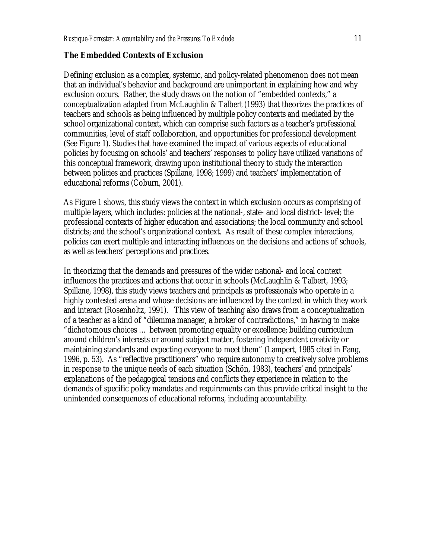#### **The Embedded Contexts of Exclusion**

Defining exclusion as a complex, systemic, and policy-related phenomenon does not mean that an individual's behavior and background are unimportant in explaining how and why exclusion occurs. Rather, the study draws on the notion of "embedded contexts," a conceptualization adapted from McLaughlin & Talbert (1993) that theorizes the practices of teachers and schools as being influenced by multiple policy contexts and mediated by the school organizational context, which can comprise such factors as a teacher's professional communities, level of staff collaboration, and opportunities for professional development (See Figure 1). Studies that have examined the impact of various aspects of educational policies by focusing on schools' and teachers' responses to policy have utilized variations of this conceptual framework, drawing upon institutional theory to study the interaction between policies and practices (Spillane, 1998; 1999) and teachers' implementation of educational reforms (Coburn, 2001).

As Figure 1 shows, this study views the context in which exclusion occurs as comprising of multiple layers, which includes: policies at the national-, state- and local district- level; the professional contexts of higher education and associations; the local community and school districts; and the school's organizational context. As result of these complex interactions, policies can exert multiple and interacting influences on the decisions and actions of schools, as well as teachers' perceptions and practices.

In theorizing that the demands and pressures of the wider national- and local context influences the practices and actions that occur in schools (McLaughlin & Talbert, 1993; Spillane, 1998), this study views teachers and principals as professionals who operate in a highly contested arena and whose decisions are influenced by the context in which they work and interact (Rosenholtz, 1991). This view of teaching also draws from a conceptualization of a teacher as a kind of "dilemma manager, a broker of contradictions," in having to make "dichotomous choices … between promoting equality or excellence; building curriculum around children's interests or around subject matter, fostering independent creativity or maintaining standards and expecting everyone to meet them" (Lampert, 1985 cited in Fang, 1996, p. 53). As "reflective practitioners" who require autonomy to creatively solve problems in response to the unique needs of each situation (Schön, 1983), teachers' and principals' explanations of the pedagogical tensions and conflicts they experience in relation to the demands of specific policy mandates and requirements can thus provide critical insight to the unintended consequences of educational reforms, including accountability.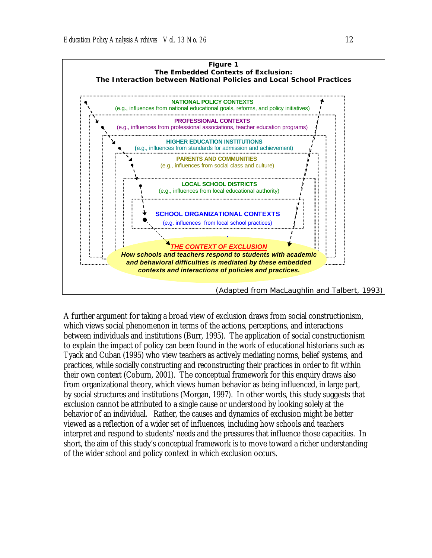

A further argument for taking a broad view of exclusion draws from social constructionism, which views social phenomenon in terms of the actions, perceptions, and interactions between individuals and institutions (Burr, 1995). The application of social constructionism to explain the impact of policy can been found in the work of educational historians such as Tyack and Cuban (1995) who view teachers as actively mediating norms, belief systems, and practices, while socially constructing and reconstructing their practices in order to fit within their own context (Coburn, 2001). The conceptual framework for this enquiry draws also from organizational theory, which views human behavior as being influenced, in large part, by social structures and institutions (Morgan, 1997). In other words, this study suggests that exclusion cannot be attributed to a single cause or understood by looking solely at the behavior of an individual. Rather, the causes and dynamics of exclusion might be better viewed as a reflection of a wider set of influences, including how schools and teachers interpret and respond to students' needs and the pressures that influence those capacities. In short, the aim of this study's conceptual framework is to move toward a richer understanding of the wider school and policy context in which exclusion occurs.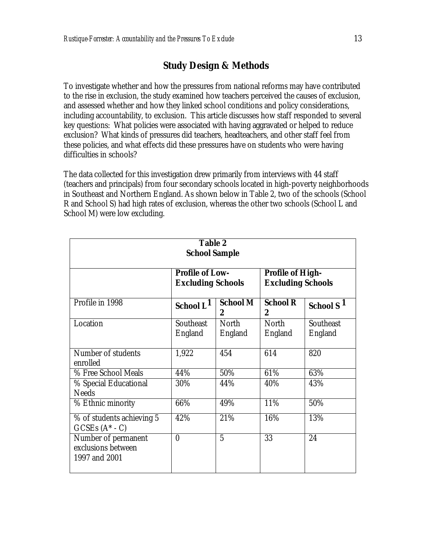# **Study Design & Methods**

To investigate whether and how the pressures from national reforms may have contributed to the rise in exclusion, the study examined how teachers perceived the causes of exclusion, and assessed whether and how they linked school conditions and policy considerations, including accountability, to exclusion. This article discusses how staff responded to several key questions: What policies were associated with having aggravated or helped to reduce exclusion? What kinds of pressures did teachers, headteachers, and other staff feel from these policies, and what effects did these pressures have on students who were having difficulties in schools?

The data collected for this investigation drew primarily from interviews with 44 staff (teachers and principals) from four secondary schools located in high-poverty neighborhoods in Southeast and Northern England. As shown below in Table 2, two of the schools (School R and School S) had high rates of exclusion, whereas the other two schools (School L and School M) were low excluding.

| <b>Table 2</b><br><b>School Sample</b>                     |                                                    |                      |                                                     |                       |
|------------------------------------------------------------|----------------------------------------------------|----------------------|-----------------------------------------------------|-----------------------|
|                                                            | <b>Profile of Low-</b><br><b>Excluding Schools</b> |                      | <b>Profile of High-</b><br><b>Excluding Schools</b> |                       |
| Profile in 1998                                            | School L <sup>1</sup>                              | <b>School M</b><br>2 | <b>School R</b><br>$\bf{2}$                         | School S <sup>1</sup> |
| Location                                                   | Southeast<br>England                               | North<br>England     | North<br>England                                    | Southeast<br>England  |
| Number of students<br>enrolled                             | 1,922                                              | 454                  | 614                                                 | 820                   |
| % Free School Meals                                        | 44%                                                | 50%                  | 61%                                                 | 63%                   |
| % Special Educational<br><b>Needs</b>                      | 30%                                                | 44%                  | 40%                                                 | 43%                   |
| % Ethnic minority                                          | 66%                                                | 49%                  | 11%                                                 | 50%                   |
| % of students achieving 5<br>$GCSEs(A^* - C)$              | 42%                                                | 21%                  | 16%                                                 | 13%                   |
| Number of permanent<br>exclusions between<br>1997 and 2001 | $\bf{0}$                                           | 5                    | 33                                                  | 24                    |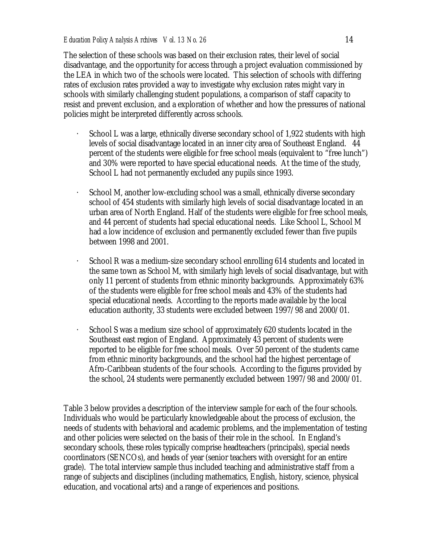The selection of these schools was based on their exclusion rates, their level of social disadvantage, and the opportunity for access through a project evaluation commissioned by the LEA in which two of the schools were located. This selection of schools with differing rates of exclusion rates provided a way to investigate why exclusion rates might vary in schools with similarly challenging student populations, a comparison of staff capacity to resist and prevent exclusion, and a exploration of whether and how the pressures of national policies might be interpreted differently across schools.

- School L was a large, ethnically diverse secondary school of 1,922 students with high levels of social disadvantage located in an inner city area of Southeast England. 44 percent of the students were eligible for free school meals (equivalent to "free lunch") and 30% were reported to have special educational needs. At the time of the study, School L had not permanently excluded any pupils since 1993.
- School M, another low-excluding school was a small, ethnically diverse secondary school of 454 students with similarly high levels of social disadvantage located in an urban area of North England. Half of the students were eligible for free school meals, and 44 percent of students had special educational needs. Like School L, School M had a low incidence of exclusion and permanently excluded fewer than five pupils between 1998 and 2001.
- School R was a medium-size secondary school enrolling 614 students and located in the same town as School M, with similarly high levels of social disadvantage, but with only 11 percent of students from ethnic minority backgrounds. Approximately 63% of the students were eligible for free school meals and 43% of the students had special educational needs. According to the reports made available by the local education authority, 33 students were excluded between 1997/98 and 2000/01.
- School S was a medium size school of approximately 620 students located in the Southeast east region of England. Approximately 43 percent of students were reported to be eligible for free school meals. Over 50 percent of the students came from ethnic minority backgrounds, and the school had the highest percentage of Afro-Caribbean students of the four schools. According to the figures provided by the school, 24 students were permanently excluded between 1997/98 and 2000/01.

Table 3 below provides a description of the interview sample for each of the four schools. Individuals who would be particularly knowledgeable about the process of exclusion, the needs of students with behavioral and academic problems, and the implementation of testing and other policies were selected on the basis of their role in the school. In England's secondary schools, these roles typically comprise headteachers (principals), special needs coordinators (SENCOs), and heads of year (senior teachers with oversight for an entire grade). The total interview sample thus included teaching and administrative staff from a range of subjects and disciplines (including mathematics, English, history, science, physical education, and vocational arts) and a range of experiences and positions.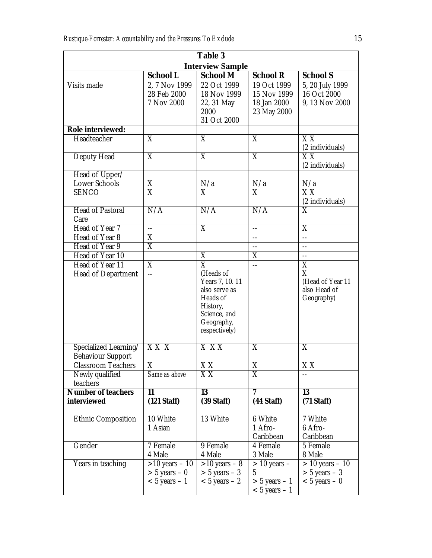| <b>Table 3</b>              |                                          |                           |                          |                                          |  |
|-----------------------------|------------------------------------------|---------------------------|--------------------------|------------------------------------------|--|
| <b>Interview Sample</b>     |                                          |                           |                          |                                          |  |
|                             | <b>School L</b>                          | <b>School M</b>           | <b>School R</b>          | <b>School S</b>                          |  |
| Visits made                 | 2, 7 Nov 1999                            | 22 Oct 1999               | 19 Oct 1999              | 5, 20 July 1999                          |  |
|                             | 28 Feb 2000                              | 18 Nov 1999               | 15 Nov 1999              | 16 Oct 2000                              |  |
|                             | 7 Nov 2000                               | 22, 31 May                | 18 Jan 2000              | 9, 13 Nov 2000                           |  |
|                             |                                          | 2000                      | 23 May 2000              |                                          |  |
|                             |                                          | 31 Oct 2000               |                          |                                          |  |
| <b>Role interviewed:</b>    |                                          |                           |                          |                                          |  |
| Headteacher                 | $\overline{\mathrm{X}}$                  | $\overline{\mathrm{X}}$   | X                        | $\overline{{\rm XX}}$<br>(2 individuals) |  |
| <b>Deputy Head</b>          | $\overline{X}$                           | $\overline{X}$            | $\overline{X}$           | $\overline{XX}$                          |  |
|                             |                                          |                           |                          | (2 individuals)                          |  |
| Head of Upper/              |                                          |                           |                          |                                          |  |
| Lower Schools               | $\overline{X}$                           | N/a                       | N/a                      | N/a                                      |  |
| <b>SENCO</b>                | $\overline{X}$                           | X                         | X                        | X <sub>X</sub><br>(2 individuals)        |  |
| <b>Head of Pastoral</b>     | N/A                                      | N/A                       | N/A                      | $\overline{\mathrm{X}}$                  |  |
| Care                        |                                          |                           |                          |                                          |  |
| Head of Year 7              | $\overline{a}$                           | $\overline{\text{X}}$     | $\overline{\phantom{a}}$ | $\overline{\text{X}}$                    |  |
| Head of Year 8              | $\overline{\text{X}}$                    |                           | $-$                      | --                                       |  |
| Head of Year 9              | $\overline{\text{X}}$                    |                           | $-$                      | --                                       |  |
| Head of Year 10             |                                          | X                         | X                        | $\overline{\phantom{a}}$                 |  |
| Head of Year 11             | X                                        | $\overline{\mathrm{X}}$   | $\overline{\phantom{a}}$ | X                                        |  |
| Head of Department          | $-$                                      | (Heads of                 |                          | $\overline{\mathrm{X}}$                  |  |
|                             |                                          | Years 7, 10. 11           |                          | (Head of Year 11                         |  |
|                             |                                          | also serve as<br>Heads of |                          | also Head of                             |  |
|                             |                                          | History,                  |                          | Geography)                               |  |
|                             |                                          | Science, and              |                          |                                          |  |
|                             |                                          | Geography,                |                          |                                          |  |
|                             |                                          | respectively)             |                          |                                          |  |
|                             |                                          |                           |                          |                                          |  |
| Specialized Learning/       | $\overline{X} \overline{X} \overline{X}$ | $X$ $XX$                  | $\overline{\mathrm{X}}$  | X                                        |  |
| <b>Behaviour Support</b>    |                                          |                           |                          |                                          |  |
| <b>Classroom Teachers</b>   | X                                        | ХX                        | X                        | ХX                                       |  |
| Newly qualified<br>teachers | Same as above                            | XX                        | X                        |                                          |  |
| <b>Number of teachers</b>   | 11                                       | 13                        | 7                        | 13                                       |  |
| <i>interviewed</i>          | $(121 \text{ Staff})$                    | $(39 Stat)$               | $(44 \text{ Staff})$     | $(71 \text{ Staff})$                     |  |
|                             |                                          |                           |                          |                                          |  |
| <b>Ethnic Composition</b>   | 10 White                                 | 13 White                  | 6 White                  | 7 White                                  |  |
|                             | 1 Asian                                  |                           | 1 Afro-                  | 6 Afro-                                  |  |
|                             |                                          |                           | Caribbean                | Caribbean                                |  |
| Gender                      | 7 Female                                 | 9 Female                  | 4 Female                 | 5 Female                                 |  |
|                             | 4 Male                                   | 4 Male                    | 3 Male                   | 8 Male                                   |  |
| Years in teaching           | $>10$ years - 10                         | $>10$ years $-8$          | $>$ 10 years $-$         | $> 10$ years $-10$                       |  |
|                             | $> 5$ years $-0$                         | $> 5$ years $-3$          | 5                        | $> 5$ years $-3$                         |  |
|                             | $< 5$ years $-1$                         | $< 5$ years $-2$          | $> 5$ years $-1$         | $< 5$ years $- 0$                        |  |
|                             |                                          |                           | $< 5$ years $-1$         |                                          |  |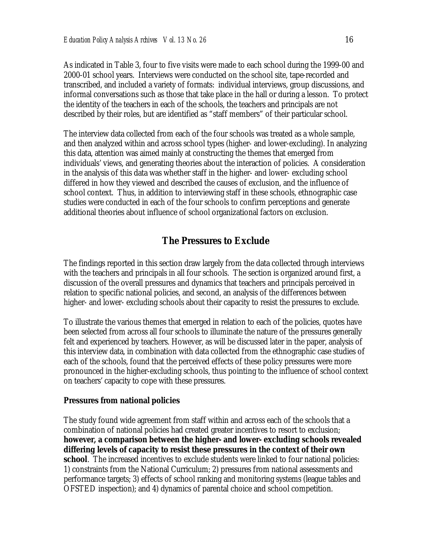As indicated in Table 3, four to five visits were made to each school during the 1999-00 and 2000-01 school years. Interviews were conducted on the school site, tape-recorded and transcribed, and included a variety of formats: individual interviews, group discussions, and informal conversations such as those that take place in the hall or during a lesson. To protect the identity of the teachers in each of the schools, the teachers and principals are not described by their roles, but are identified as "staff members" of their particular school.

The interview data collected from each of the four schools was treated as a whole sample, and then analyzed within and across school types (higher- and lower-excluding). In analyzing this data, attention was aimed mainly at constructing the themes that emerged from individuals' views, and generating theories about the interaction of policies. A consideration in the analysis of this data was whether staff in the higher- and lower- excluding school differed in how they viewed and described the causes of exclusion, and the influence of school context. Thus, in addition to interviewing staff in these schools, ethnographic case studies were conducted in each of the four schools to confirm perceptions and generate additional theories about influence of school organizational factors on exclusion.

# **The Pressures to Exclude**

The findings reported in this section draw largely from the data collected through interviews with the teachers and principals in all four schools. The section is organized around first, a discussion of the overall pressures and dynamics that teachers and principals perceived in relation to specific national policies, and second, an analysis of the differences between higher- and lower- excluding schools about their capacity to resist the pressures to exclude.

To illustrate the various themes that emerged in relation to each of the policies, quotes have been selected from across all four schools to illuminate the nature of the pressures generally felt and experienced by teachers. However, as will be discussed later in the paper, analysis of this interview data, in combination with data collected from the ethnographic case studies of each of the schools, found that the perceived effects of these policy pressures were more pronounced in the higher-excluding schools, thus pointing to the influence of school context on teachers' capacity to cope with these pressures.

#### **Pressures from national policies**

The study found wide agreement from staff within and across each of the schools that a combination of national policies had created greater incentives to resort to exclusion; **however, a comparison between the higher- and lower- excluding schools revealed differing levels of capacity to resist these pressures in the context of their own school**. The increased incentives to exclude students were linked to four national policies: 1) constraints from the National Curriculum; 2) pressures from national assessments and performance targets; 3) effects of school ranking and monitoring systems (league tables and OFSTED inspection); and 4) dynamics of parental choice and school competition.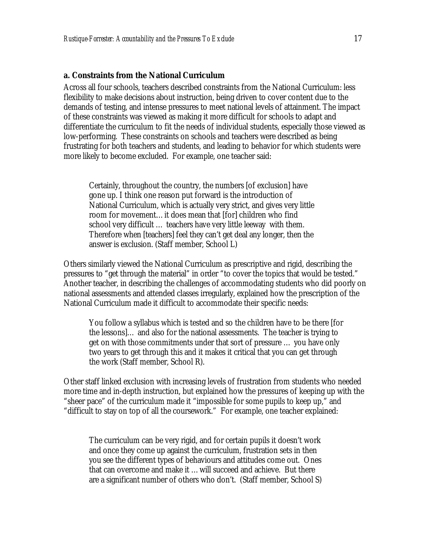#### **a. Constraints from the National Curriculum**

Across all four schools, teachers described constraints from the National Curriculum: less flexibility to make decisions about instruction, being driven to cover content due to the demands of testing, and intense pressures to meet national levels of attainment. The impact of these constraints was viewed as making it more difficult for schools to adapt and differentiate the curriculum to fit the needs of individual students, especially those viewed as low-performing. These constraints on schools and teachers were described as being frustrating for both teachers and students, and leading to behavior for which students were more likely to become excluded. For example, one teacher said:

Certainly, throughout the country, the numbers [of exclusion] have gone up. I think one reason put forward is the introduction of National Curriculum, which is actually very strict, and gives very little room for movement…it does mean that [for] children who find school very difficult … teachers have very little leeway with them. Therefore when [teachers] feel they can't get deal any longer, then the answer is exclusion. (Staff member, School L)

Others similarly viewed the National Curriculum as prescriptive and rigid, describing the pressures to "get through the material" in order "to cover the topics that would be tested." Another teacher, in describing the challenges of accommodating students who did poorly on national assessments and attended classes irregularly, explained how the prescription of the National Curriculum made it difficult to accommodate their specific needs:

You follow a syllabus which is tested and so the children have to be there [for the lessons]… and also for the national assessments. The teacher is trying to get on with those commitments under that sort of pressure … you have only two years to get through this and it makes it critical that you can get through the work (Staff member, School R).

Other staff linked exclusion with increasing levels of frustration from students who needed more time and in-depth instruction, but explained how the pressures of keeping up with the "sheer pace" of the curriculum made it "impossible for some pupils to keep up," and "difficult to stay on top of all the coursework." For example, one teacher explained:

The curriculum can be very rigid, and for certain pupils it doesn't work and once they come up against the curriculum, frustration sets in then you see the different types of behaviours and attitudes come out. Ones that can overcome and make it …will succeed and achieve. But there are a significant number of others who don't. (Staff member, School S)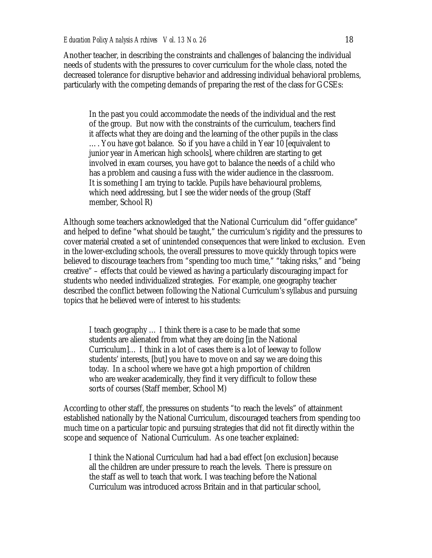Another teacher, in describing the constraints and challenges of balancing the individual needs of students with the pressures to cover curriculum for the whole class, noted the decreased tolerance for disruptive behavior and addressing individual behavioral problems, particularly with the competing demands of preparing the rest of the class for GCSEs:

In the past you could accommodate the needs of the individual and the rest of the group. But now with the constraints of the curriculum, teachers find it affects what they are doing and the learning of the other pupils in the class …. You have got balance. So if you have a child in Year 10 [equivalent to junior year in American high schools], where children are starting to get involved in exam courses, you have got to balance the needs of a child who has a problem and causing a fuss with the wider audience in the classroom. It is something I am trying to tackle. Pupils have behavioural problems, which need addressing, but I see the wider needs of the group (Staff member, School R)

Although some teachers acknowledged that the National Curriculum did "offer guidance" and helped to define "what should be taught," the curriculum's rigidity and the pressures to cover material created a set of unintended consequences that were linked to exclusion. Even in the lower-excluding schools, the overall pressures to move quickly through topics were believed to discourage teachers from "spending too much time," "taking risks," and "being creative" – effects that could be viewed as having a particularly discouraging impact for students who needed individualized strategies. For example, one geography teacher described the conflict between following the National Curriculum's syllabus and pursuing topics that he believed were of interest to his students:

I teach geography … I think there is a case to be made that some students are alienated from what they are doing [in the National Curriculum]… I think in a lot of cases there is a lot of leeway to follow students' interests, [but] you have to move on and say we are doing this today. In a school where we have got a high proportion of children who are weaker academically, they find it very difficult to follow these sorts of courses (Staff member, School M)

According to other staff, the pressures on students "to reach the levels" of attainment established nationally by the National Curriculum, discouraged teachers from spending too much time on a particular topic and pursuing strategies that did not fit directly within the scope and sequence of National Curriculum. As one teacher explained:

I think the National Curriculum had had a bad effect [on exclusion] because all the children are under pressure to reach the levels. There is pressure on the staff as well to teach that work. I was teaching before the National Curriculum was introduced across Britain and in that particular school,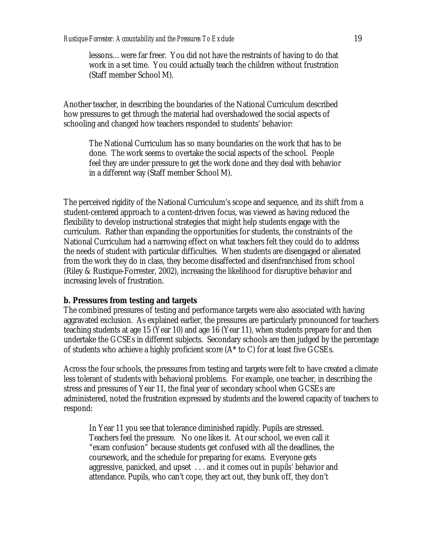lessons…were far freer. You did not have the restraints of having to do that work in a set time. You could actually teach the children without frustration (Staff member School M).

Another teacher, in describing the boundaries of the National Curriculum described how pressures to get through the material had overshadowed the social aspects of schooling and changed how teachers responded to students' behavior:

The National Curriculum has so many boundaries on the work that has to be done. The work seems to overtake the social aspects of the school. People feel they are under pressure to get the work done and they deal with behavior in a different way (Staff member School M).

The perceived rigidity of the National Curriculum's scope and sequence, and its shift from a student-centered approach to a content-driven focus, was viewed as having reduced the flexibility to develop instructional strategies that might help students engage with the curriculum. Rather than expanding the opportunities for students, the constraints of the National Curriculum had a narrowing effect on what teachers felt they could do to address the needs of student with particular difficulties. When students are disengaged or alienated from the work they do in class, they become disaffected and disenfranchised from school (Riley & Rustique-Forrester, 2002), increasing the likelihood for disruptive behavior and increasing levels of frustration.

#### **b. Pressures from testing and targets**

The combined pressures of testing and performance targets were also associated with having aggravated exclusion. As explained earlier, the pressures are particularly pronounced for teachers teaching students at age 15 (Year 10) and age 16 (Year 11), when students prepare for and then undertake the GCSEs in different subjects. Secondary schools are then judged by the percentage of students who achieve a highly proficient score (A\* to C) for at least five GCSEs.

Across the four schools, the pressures from testing and targets were felt to have created a climate less tolerant of students with behavioral problems. For example, one teacher, in describing the stress and pressures of Year 11, the final year of secondary school when GCSEs are administered, noted the frustration expressed by students and the lowered capacity of teachers to respond:

In Year 11 you see that tolerance diminished rapidly. Pupils are stressed. Teachers feel the pressure. No one likes it. At our school, we even call it "exam confusion" because students get confused with all the deadlines, the coursework, and the schedule for preparing for exams. Everyone gets aggressive, panicked, and upset . . . and it comes out in pupils' behavior and attendance. Pupils, who can't cope, they act out, they bunk off, they don't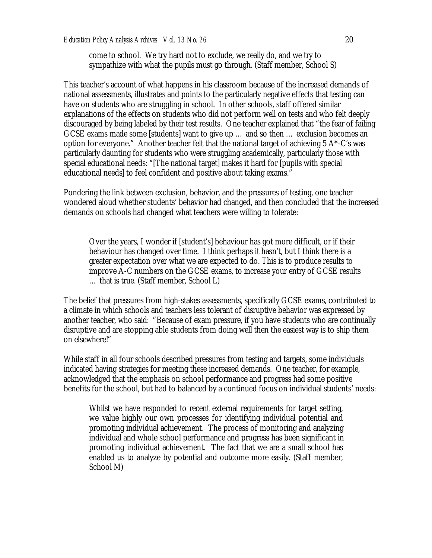come to school. We try hard not to exclude, we really do, and we try to sympathize with what the pupils must go through. (Staff member, School S)

This teacher's account of what happens in his classroom because of the increased demands of national assessments, illustrates and points to the particularly negative effects that testing can have on students who are struggling in school. In other schools, staff offered similar explanations of the effects on students who did not perform well on tests and who felt deeply discouraged by being labeled by their test results. One teacher explained that "the fear of failing GCSE exams made some [students] want to give up … and so then … exclusion becomes an option for everyone."Another teacher felt that the national target of achieving 5 A\*-C's was particularly daunting for students who were struggling academically, particularly those with special educational needs: "[The national target] makes it hard for [pupils with special educational needs] to feel confident and positive about taking exams."

Pondering the link between exclusion, behavior, and the pressures of testing, one teacher wondered aloud whether students' behavior had changed, and then concluded that the increased demands on schools had changed what teachers were willing to tolerate:

Over the years, I wonder if [student's] behaviour has got more difficult, or if their behaviour has changed over time. I think perhaps it hasn't, but I think there is a greater expectation over what we are expected to do. This is to produce results to improve A-C numbers on the GCSE exams, to increase your entry of GCSE results … that is true. (Staff member, School L)

The belief that pressures from high-stakes assessments, specifically GCSE exams, contributed to a climate in which schools and teachers less tolerant of disruptive behavior was expressed by another teacher, who said*:* "Because of exam pressure, if you have students who are continually disruptive and are stopping able students from doing well then the easiest way is to ship them on elsewhere!"

While staff in all four schools described pressures from testing and targets, some individuals indicated having strategies for meeting these increased demands. One teacher, for example, acknowledged that the emphasis on school performance and progress had some positive benefits for the school, but had to balanced by a continued focus on individual students' needs:

Whilst we have responded to recent external requirements for target setting, we value highly our own processes for identifying individual potential and promoting individual achievement. The process of monitoring and analyzing individual and whole school performance and progress has been significant in promoting individual achievement. The fact that we are a small school has enabled us to analyze by potential and outcome more easily. (Staff member, School M)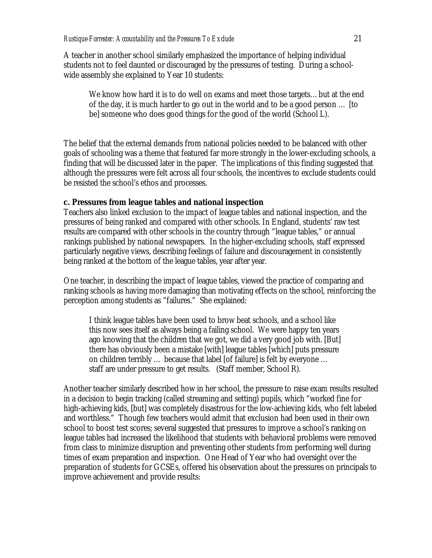A teacher in another school similarly emphasized the importance of helping individual students not to feel daunted or discouraged by the pressures of testing. During a schoolwide assembly she explained to Year 10 students:

We know how hard it is to do well on exams and meet those targets…but at the end of the day, it is much harder to go out in the world and to be a good person … [to be] someone who does good things for the good of the world (School L).

The belief that the external demands from national policies needed to be balanced with other goals of schooling was a theme that featured far more strongly in the lower-excluding schools, a finding that will be discussed later in the paper. The implications of this finding suggested that although the pressures were felt across all four schools, the incentives to exclude students could be resisted the school's ethos and processes.

#### **c. Pressures from league tables and national inspection**

Teachers also linked exclusion to the impact of league tables and national inspection, and the pressures of being ranked and compared with other schools. In England, students' raw test results are compared with other schools in the country through "league tables," or annual rankings published by national newspapers. In the higher-excluding schools, staff expressed particularly negative views, describing feelings of failure and discouragement in consistently being ranked at the bottom of the league tables, year after year.

One teacher, in describing the impact of league tables, viewed the practice of comparing and ranking schools as having more damaging than motivating effects on the school, reinforcing the perception among students as "failures." She explained:

I think league tables have been used to brow beat schools, and a school like this now sees itself as always being a failing school. We were happy ten years ago knowing that the children that we got, we did a very good job with. [But] there has obviously been a mistake [with] league tables [which] puts pressure on children terribly … because that label [of failure] is felt by everyone … staff are under pressure to get results. (Staff member, School R).

Another teacher similarly described how in her school, the pressure to raise exam results resulted in a decision to begin tracking (called streaming and setting) pupils, which "worked fine for high-achieving kids, [but] was completely disastrous for the low-achieving kids, who felt labeled and worthless." Though few teachers would admit that exclusion had been used in their own school to boost test scores; several suggested that pressures to improve a school's ranking on league tables had increased the likelihood that students with behavioral problems were removed from class to minimize disruption and preventing other students from performing well during times of exam preparation and inspection. One Head of Year who had oversight over the preparation of students for GCSEs, offered his observation about the pressures on principals to improve achievement and provide results: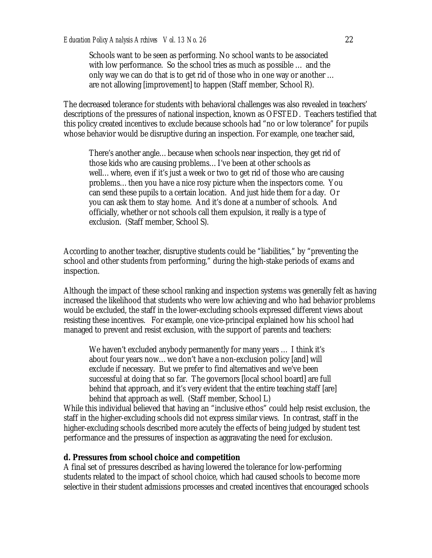Schools want to be seen as performing. No school wants to be associated with low performance. So the school tries as much as possible … and the only way we can do that is to get rid of those who in one way or another … are not allowing [improvement] to happen (Staff member, School R).

The decreased tolerance for students with behavioral challenges was also revealed in teachers' descriptions of the pressures of national inspection, known as OFSTED. Teachers testified that this policy created incentives to exclude because schools had "no or low tolerance" for pupils whose behavior would be disruptive during an inspection. For example, one teacher said,

There's another angle…because when schools near inspection, they get rid of those kids who are causing problems…I've been at other schools as well…where, even if it's just a week or two to get rid of those who are causing problems…then you have a nice rosy picture when the inspectors come. You can send these pupils to a certain location. And just hide them for a day. Or you can ask them to stay home. And it's done at a number of schools. And officially, whether or not schools call them expulsion, it really is a type of exclusion. (Staff member, School S).

According to another teacher, disruptive students could be "liabilities," by "preventing the school and other students from performing," during the high-stake periods of exams and inspection.

Although the impact of these school ranking and inspection systems was generally felt as having increased the likelihood that students who were low achieving and who had behavior problems would be excluded, the staff in the lower-excluding schools expressed different views about resisting these incentives. For example, one vice-principal explained how his school had managed to prevent and resist exclusion, with the support of parents and teachers:

We haven't excluded anybody permanently for many years … I think it's about four years now…we don't have a non-exclusion policy [and] will exclude if necessary. But we prefer to find alternatives and we've been successful at doing that so far. The governors [local school board] are full behind that approach, and it's very evident that the entire teaching staff [are] behind that approach as well. (Staff member, School L)

While this individual believed that having an "inclusive ethos" could help resist exclusion, the staff in the higher-excluding schools did not express similar views. In contrast, staff in the higher-excluding schools described more acutely the effects of being judged by student test performance and the pressures of inspection as aggravating the need for exclusion.

#### **d. Pressures from school choice and competition**

A final set of pressures described as having lowered the tolerance for low-performing students related to the impact of school choice, which had caused schools to become more selective in their student admissions processes and created incentives that encouraged schools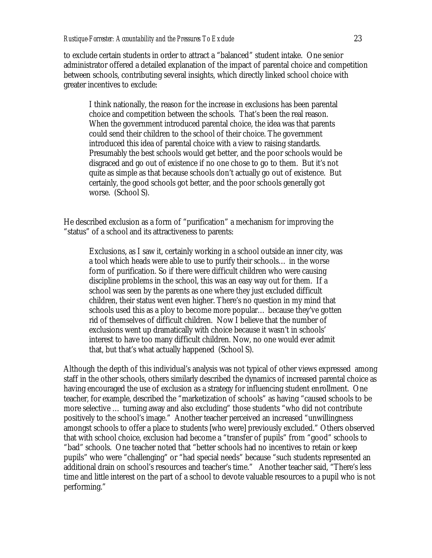to exclude certain students in order to attract a "balanced" student intake. One senior administrator offered a detailed explanation of the impact of parental choice and competition between schools, contributing several insights, which directly linked school choice with greater incentives to exclude:

I think nationally, the reason for the increase in exclusions has been parental choice and competition between the schools. That's been the real reason. When the government introduced parental choice, the idea was that parents could send their children to the school of their choice. The government introduced this idea of parental choice with a view to raising standards. Presumably the best schools would get better, and the poor schools would be disgraced and go out of existence if no one chose to go to them. But it's not quite as simple as that because schools don't actually go out of existence. But certainly, the good schools got better, and the poor schools generally got worse. (School S).

He described exclusion as a form of "purification" a mechanism for improving the "status" of a school and its attractiveness to parents:

Exclusions, as I saw it, certainly working in a school outside an inner city, was a tool which heads were able to use to purify their schools… in the worse form of purification. So if there were difficult children who were causing discipline problems in the school, this was an easy way out for them. If a school was seen by the parents as one where they just excluded difficult children, their status went even higher. There's no question in my mind that schools used this as a ploy to become more popular… because they've gotten rid of themselves of difficult children. Now I believe that the number of exclusions went up dramatically with choice because it wasn't in schools' interest to have too many difficult children. Now, no one would ever admit that, but that's what actually happened (School S).

Although the depth of this individual's analysis was not typical of other views expressed among staff in the other schools, others similarly described the dynamics of increased parental choice as having encouraged the use of exclusion as a strategy for influencing student enrollment. One teacher, for example, described the "marketization of schools" as having "caused schools to be more selective … turning away and also excluding" those students "who did not contribute positively to the school's image." Another teacher perceived an increased "unwillingness amongst schools to offer a place to students [who were] previously excluded." Others observed that with school choice, exclusion had become a "transfer of pupils" from "good" schools to "bad" schools. One teacher noted that "better schools had no incentives to retain or keep pupils" who were "challenging" or "had special needs" because "such students represented an additional drain on school's resources and teacher's time." Another teacher said, "There's less time and little interest on the part of a school to devote valuable resources to a pupil who is not performing."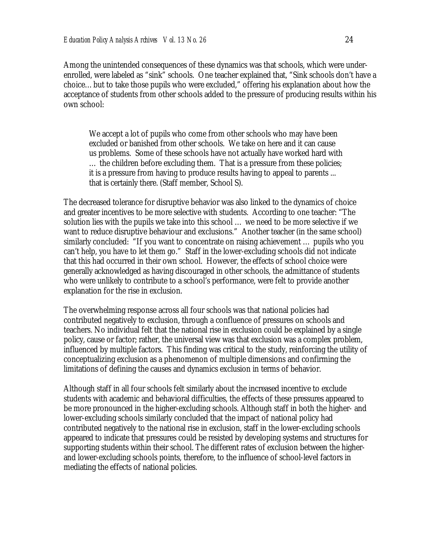Among the unintended consequences of these dynamics was that schools, which were underenrolled, were labeled as "sink" schools. One teacher explained that, "Sink schools don't have a choice…but to take those pupils who were excluded," offering his explanation about how the acceptance of students from other schools added to the pressure of producing results within his own school:

We accept a lot of pupils who come from other schools who may have been excluded or banished from other schools. We take on here and it can cause us problems. Some of these schools have not actually have worked hard with … the children before excluding them. That is a pressure from these policies; it is a pressure from having to produce results having to appeal to parents ... that is certainly there. (Staff member, School S).

The decreased tolerance for disruptive behavior was also linked to the dynamics of choice and greater incentives to be more selective with students. According to one teacher: "The solution lies with the pupils we take into this school … we need to be more selective if we want to reduce disruptive behaviour and exclusions." Another teacher (in the same school) similarly concluded: "If you want to concentrate on raising achievement … pupils who you can't help, you have to let them go." Staff in the lower-excluding schools did not indicate that this had occurred in their own school. However, the effects of school choice were generally acknowledged as having discouraged in other schools, the admittance of students who were unlikely to contribute to a school's performance, were felt to provide another explanation for the rise in exclusion.

The overwhelming response across all four schools was that national policies had contributed negatively to exclusion, through a confluence of pressures on schools and teachers. No individual felt that the national rise in exclusion could be explained by a single policy, cause or factor; rather, the universal view was that exclusion was a complex problem, influenced by multiple factors. This finding was critical to the study, reinforcing the utility of conceptualizing exclusion as a phenomenon of multiple dimensions and confirming the limitations of defining the causes and dynamics exclusion in terms of behavior.

Although staff in all four schools felt similarly about the increased incentive to exclude students with academic and behavioral difficulties, the effects of these pressures appeared to be more pronounced in the higher-excluding schools. Although staff in both the higher- and lower-excluding schools similarly concluded that the impact of national policy had contributed negatively to the national rise in exclusion, staff in the lower-excluding schools appeared to indicate that pressures could be resisted by developing systems and structures for supporting students within their school. The different rates of exclusion between the higherand lower-excluding schools points, therefore, to the influence of school-level factors in mediating the effects of national policies.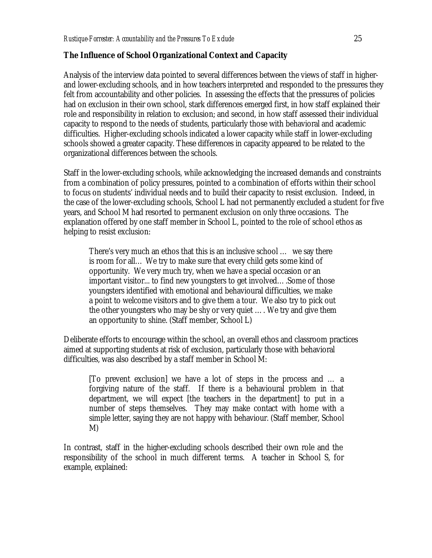# **The Influence of School Organizational Context and Capacity**

Analysis of the interview data pointed to several differences between the views of staff in higherand lower-excluding schools, and in how teachers interpreted and responded to the pressures they felt from accountability and other policies. In assessing the effects that the pressures of policies had on exclusion in their own school, stark differences emerged first, in how staff explained their role and responsibility in relation to exclusion; and second, in how staff assessed their individual capacity to respond to the needs of students, particularly those with behavioral and academic difficulties. Higher-excluding schools indicated a lower capacity while staff in lower-excluding schools showed a greater capacity. These differences in capacity appeared to be related to the organizational differences between the schools.

Staff in the lower-excluding schools, while acknowledging the increased demands and constraints from a combination of policy pressures, pointed to a combination of efforts within their school to focus on students' individual needs and to build their capacity to resist exclusion. Indeed, in the case of the lower-excluding schools, School L had not permanently excluded a student for five years, and School M had resorted to permanent exclusion on only three occasions. The explanation offered by one staff member in School L, pointed to the role of school ethos as helping to resist exclusion:

There's very much an ethos that this is an inclusive school … we say there is room for all… We try to make sure that every child gets some kind of opportunity. We very much try, when we have a special occasion or an important visitor... to find new youngsters to get involved….Some of those youngsters identified with emotional and behavioural difficulties, we make a point to welcome visitors and to give them a tour. We also try to pick out the other youngsters who may be shy or very quiet …. We try and give them an opportunity to shine. (Staff member, School L)

Deliberate efforts to encourage within the school, an overall ethos and classroom practices aimed at supporting students at risk of exclusion, particularly those with behavioral difficulties, was also described by a staff member in School M:

[To prevent exclusion] we have a lot of steps in the process and … a forgiving nature of the staff. If there is a behavioural problem in that department, we will expect [the teachers in the department] to put in a number of steps themselves. They may make contact with home with a simple letter, saying they are not happy with behaviour. (Staff member, School M)

In contrast, staff in the higher-excluding schools described their own role and the responsibility of the school in much different terms. A teacher in School S, for example, explained: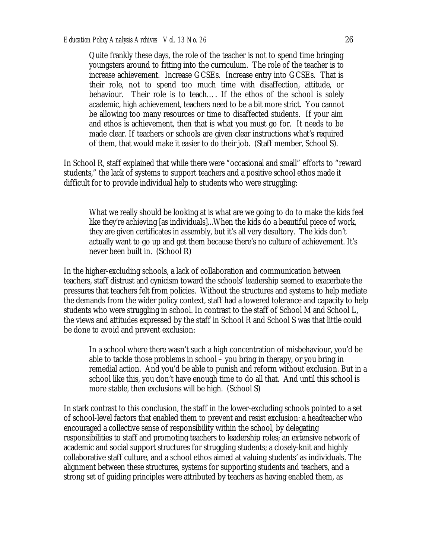Quite frankly these days, the role of the teacher is not to spend time bringing youngsters around to fitting into the curriculum. The role of the teacher is to increase achievement. Increase GCSEs. Increase entry into GCSEs. That is their role, not to spend too much time with disaffection, attitude, or behaviour. Their role is to teach…. If the ethos of the school is solely academic, high achievement, teachers need to be a bit more strict. You cannot be allowing too many resources or time to disaffected students. If your aim and ethos is achievement, then that is what you must go for. It needs to be made clear. If teachers or schools are given clear instructions what's required of them, that would make it easier to do their job. (Staff member, School S).

In School R, staff explained that while there were "occasional and small" efforts to "reward students," the lack of systems to support teachers and a positive school ethos made it difficult for to provide individual help to students who were struggling:

What we really should be looking at is what are we going to do to make the kids feel like they're achieving [as individuals]...When the kids do a beautiful piece of work, they are given certificates in assembly, but it's all very desultory. The kids don't actually want to go up and get them because there's no culture of achievement. It's never been built in. (School R)

In the higher-excluding schools, a lack of collaboration and communication between teachers, staff distrust and cynicism toward the schools' leadership seemed to exacerbate the pressures that teachers felt from policies. Without the structures and systems to help mediate the demands from the wider policy context, staff had a lowered tolerance and capacity to help students who were struggling in school. In contrast to the staff of School M and School L, the views and attitudes expressed by the staff in School R and School S was that little could be done to avoid and prevent exclusion:

In a school where there wasn't such a high concentration of misbehaviour, you'd be able to tackle those problems in school – you bring in therapy, or you bring in remedial action. And you'd be able to punish and reform without exclusion. But in a school like this, you don't have enough time to do all that. And until this school is more stable, then exclusions will be high. (School S)

In stark contrast to this conclusion, the staff in the lower-excluding schools pointed to a set of school-level factors that enabled them to prevent and resist exclusion: a headteacher who encouraged a collective sense of responsibility within the school, by delegating responsibilities to staff and promoting teachers to leadership roles; an extensive network of academic and social support structures for struggling students; a closely-knit and highly collaborative staff culture, and a school ethos aimed at valuing students' as individuals. The alignment between these structures, systems for supporting students and teachers, and a strong set of guiding principles were attributed by teachers as having enabled them, as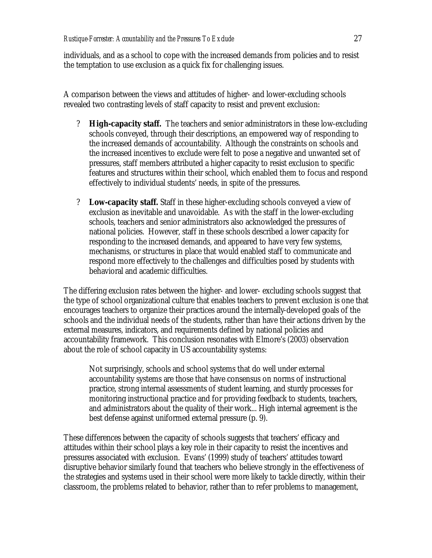individuals, and as a school to cope with the increased demands from policies and to resist the temptation to use exclusion as a quick fix for challenging issues.

A comparison between the views and attitudes of higher- and lower-excluding schools revealed two contrasting levels of staff capacity to resist and prevent exclusion:

- ? **High-capacity staff.** The teachers and senior administrators in these low-excluding schools conveyed, through their descriptions, an empowered way of responding to the increased demands of accountability. Although the constraints on schools and the increased incentives to exclude were felt to pose a negative and unwanted set of pressures, staff members attributed a higher capacity to resist exclusion to specific features and structures within their school, which enabled them to focus and respond effectively to individual students' needs, in spite of the pressures.
- ? **Low-capacity staff.** Staff in these higher-excluding schools conveyed a view of exclusion as inevitable and unavoidable. As with the staff in the lower-excluding schools, teachers and senior administrators also acknowledged the pressures of national policies. However, staff in these schools described a lower capacity for responding to the increased demands, and appeared to have very few systems, mechanisms, or structures in place that would enabled staff to communicate and respond more effectively to the challenges and difficulties posed by students with behavioral and academic difficulties.

The differing exclusion rates between the higher- and lower- excluding schools suggest that the type of school organizational culture that enables teachers to prevent exclusion is one that encourages teachers to organize their practices around the internally-developed goals of the schools and the individual needs of the students, rather than have their actions driven by the external measures, indicators, and requirements defined by national policies and accountability framework. This conclusion resonates with Elmore's (2003) observation about the role of school capacity in US accountability systems:

Not surprisingly, schools and school systems that do well under external accountability systems are those that have consensus on norms of instructional practice, strong internal assessments of student learning, and sturdy processes for monitoring instructional practice and for providing feedback to students, teachers, and administrators about the quality of their work... High internal agreement is the best defense against uniformed external pressure (p. 9).

These differences between the capacity of schools suggests that teachers' efficacy and attitudes within their school plays a key role in their capacity to resist the incentives and pressures associated with exclusion. Evans' (1999) study of teachers' attitudes toward disruptive behavior similarly found that teachers who believe strongly in the effectiveness of the strategies and systems used in their school were more likely to tackle directly, within their classroom, the problems related to behavior, rather than to refer problems to management,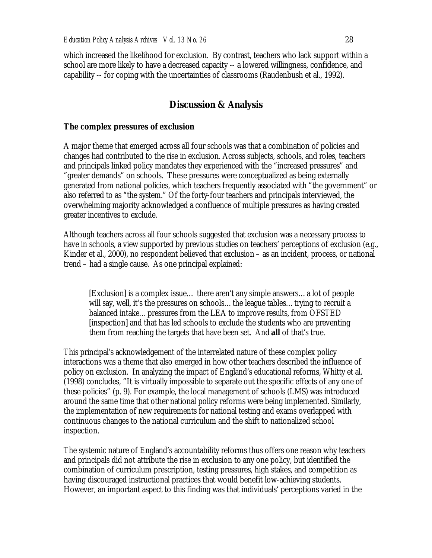which increased the likelihood for exclusion. By contrast, teachers who lack support within a school are more likely to have a decreased capacity -- a lowered willingness, confidence, and capability -- for coping with the uncertainties of classrooms (Raudenbush et al., 1992).

# **Discussion & Analysis**

#### **The complex pressures of exclusion**

A major theme that emerged across all four schools was that a combination of policies and changes had contributed to the rise in exclusion. Across subjects, schools, and roles, teachers and principals linked policy mandates they experienced with the "increased pressures" and "greater demands" on schools. These pressures were conceptualized as being externally generated from national policies, which teachers frequently associated with "the government" or also referred to as "the system." Of the forty-four teachers and principals interviewed, the overwhelming majority acknowledged a confluence of multiple pressures as having created greater incentives to exclude.

Although teachers across all four schools suggested that exclusion was a necessary process to have in schools, a view supported by previous studies on teachers' perceptions of exclusion (e.g., Kinder et al., 2000), no respondent believed that exclusion – as an incident, process, or national trend – had a single cause. As one principal explained:

[Exclusion] is a complex issue… there aren't any simple answers…a lot of people will say, well, it's the pressures on schools...the league tables...trying to recruit a balanced intake…pressures from the LEA to improve results, from OFSTED [inspection] and that has led schools to exclude the students who are preventing them from reaching the targets that have been set. And **all** of that's true.

This principal's acknowledgement of the interrelated nature of these complex policy interactions was a theme that also emerged in how other teachers described the influence of policy on exclusion. In analyzing the impact of England's educational reforms, Whitty et al. (1998) concludes, "It is virtually impossible to separate out the specific effects of any one of these policies" (p. 9). For example, the local management of schools (LMS) was introduced around the same time that other national policy reforms were being implemented. Similarly, the implementation of new requirements for national testing and exams overlapped with continuous changes to the national curriculum and the shift to nationalized school inspection.

The systemic nature of England's accountability reforms thus offers one reason why teachers and principals did not attribute the rise in exclusion to any one policy, but identified the combination of curriculum prescription, testing pressures, high stakes, and competition as having discouraged instructional practices that would benefit low-achieving students. However, an important aspect to this finding was that individuals' perceptions varied in the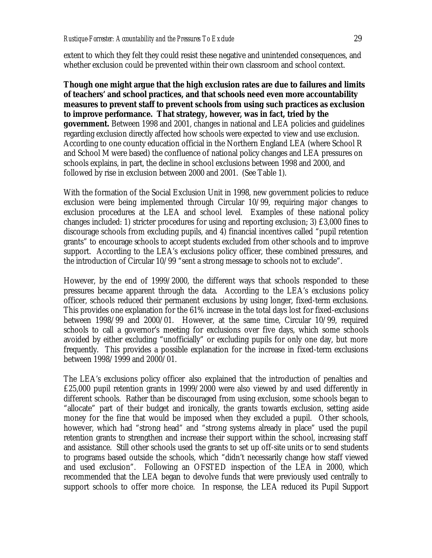extent to which they felt they could resist these negative and unintended consequences, and whether exclusion could be prevented within their own classroom and school context.

**Though one might argue that the high exclusion rates are due to failures and limits of teachers' and school practices, and that schools need even more accountability measures to prevent staff to prevent schools from using such practices as exclusion to improve performance. That strategy, however, was in fact, tried by the government.** Between 1998 and 2001, changes in national and LEA policies and guidelines regarding exclusion directly affected how schools were expected to view and use exclusion. According to one county education official in the Northern England LEA (where School R and School M were based) the confluence of national policy changes and LEA pressures on schools explains, in part, the decline in school exclusions between 1998 and 2000, and followed by rise in exclusion between 2000 and 2001. (See Table 1).

With the formation of the Social Exclusion Unit in 1998, new government policies to reduce exclusion were being implemented through Circular 10/99, requiring major changes to exclusion procedures at the LEA and school level. Examples of these national policy changes included: 1) stricter procedures for using and reporting exclusion; 3) £3,000 fines to discourage schools from excluding pupils, and 4) financial incentives called "pupil retention grants" to encourage schools to accept students excluded from other schools and to improve support. According to the LEA's exclusions policy officer, these combined pressures, and the introduction of Circular 10/99 "sent a strong message to schools not to exclude".

However, by the end of 1999/2000, the different ways that schools responded to these pressures became apparent through the data. According to the LEA's exclusions policy officer, schools reduced their permanent exclusions by using longer, fixed-term exclusions. This provides one explanation for the 61% increase in the total days lost for fixed-exclusions between 1998/99 and 2000/01. However, at the same time, Circular 10/99, required schools to call a governor's meeting for exclusions over five days, which some schools avoided by either excluding "unofficially" or excluding pupils for only one day, but more frequently. This provides a possible explanation for the increase in fixed-term exclusions between 1998/1999 and 2000/01.

The LEA's exclusions policy officer also explained that the introduction of penalties and £25,000 pupil retention grants in 1999/2000 were also viewed by and used differently in different schools. Rather than be discouraged from using exclusion, some schools began to "allocate" part of their budget and ironically, the grants towards exclusion, setting aside money for the fine that would be imposed when they excluded a pupil. Other schools, however, which had "strong head" and "strong systems already in place" used the pupil retention grants to strengthen and increase their support within the school, increasing staff and assistance. Still other schools used the grants to set up off-site units or to send students to programs based outside the schools, which "didn't necessarily change how staff viewed and used exclusion". Following an OFSTED inspection of the LEA in 2000, which recommended that the LEA began to devolve funds that were previously used centrally to support schools to offer more choice. In response, the LEA reduced its Pupil Support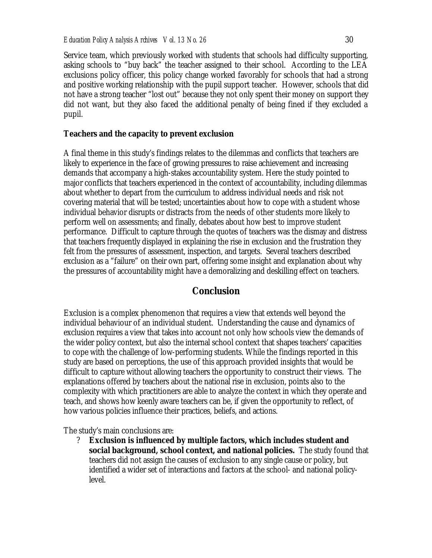Service team, which previously worked with students that schools had difficulty supporting, asking schools to "buy back" the teacher assigned to their school. According to the LEA exclusions policy officer, this policy change worked favorably for schools that had a strong and positive working relationship with the pupil support teacher. However, schools that did not have a strong teacher "lost out" because they not only spent their money on support they did not want, but they also faced the additional penalty of being fined if they excluded a pupil.

#### **Teachers and the capacity to prevent exclusion**

A final theme in this study's findings relates to the dilemmas and conflicts that teachers are likely to experience in the face of growing pressures to raise achievement and increasing demands that accompany a high-stakes accountability system. Here the study pointed to major conflicts that teachers experienced in the context of accountability, including dilemmas about whether to depart from the curriculum to address individual needs and risk not covering material that will be tested; uncertainties about how to cope with a student whose individual behavior disrupts or distracts from the needs of other students more likely to perform well on assessments; and finally, debates about how best to improve student performance. Difficult to capture through the quotes of teachers was the dismay and distress that teachers frequently displayed in explaining the rise in exclusion and the frustration they felt from the pressures of assessment, inspection, and targets. Several teachers described exclusion as a "failure" on their own part, offering some insight and explanation about why the pressures of accountability might have a demoralizing and deskilling effect on teachers.

#### **Conclusion**

Exclusion is a complex phenomenon that requires a view that extends well beyond the individual behaviour of an individual student. Understanding the cause and dynamics of exclusion requires a view that takes into account not only how schools view the demands of the wider policy context, but also the internal school context that shapes teachers' capacities to cope with the challenge of low-performing students. While the findings reported in this study are based on perceptions, the use of this approach provided insights that would be difficult to capture without allowing teachers the opportunity to construct their views. The explanations offered by teachers about the national rise in exclusion, points also to the complexity with which practitioners are able to analyze the context in which they operate and teach, and shows how keenly aware teachers can be, if given the opportunity to reflect, of how various policies influence their practices, beliefs, and actions.

The study's main conclusions are:

? **Exclusion is influenced by multiple factors, which includes student and social background, school context, and national policies.** The study found that teachers did not assign the causes of exclusion to any single cause or policy, but identified a wider set of interactions and factors at the school- and national policylevel.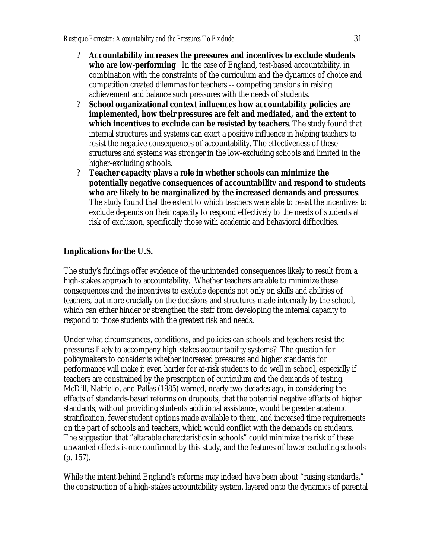- ? **Accountability increases the pressures and incentives to exclude students who are low-performing***.* In the case of England, test-based accountability, in combination with the constraints of the curriculum and the dynamics of choice and competition created dilemmas for teachers -- competing tensions in raising achievement and balance such pressures with the needs of students.
- ? **School organizational context influences how accountability policies are implemented, how their pressures are felt and mediated, and the extent to which incentives to exclude can be resisted by teachers***.* The study found that internal structures and systems can exert a positive influence in helping teachers to resist the negative consequences of accountability. The effectiveness of these structures and systems was stronger in the low-excluding schools and limited in the higher-excluding schools.
- ? **Teacher capacity plays a role in whether schools can minimize the potentially negative consequences of accountability and respond to students who are likely to be marginalized by the increased demands and pressures***.* The study found that the extent to which teachers were able to resist the incentives to exclude depends on their capacity to respond effectively to the needs of students at risk of exclusion, specifically those with academic and behavioral difficulties.

# **Implications for the U.S.**

The study's findings offer evidence of the unintended consequences likely to result from a high-stakes approach to accountability. Whether teachers are able to minimize these consequences and the incentives to exclude depends not only on skills and abilities of teachers, but more crucially on the decisions and structures made internally by the school, which can either hinder or strengthen the staff from developing the internal capacity to respond to those students with the greatest risk and needs.

Under what circumstances, conditions, and policies can schools and teachers resist the pressures likely to accompany high-stakes accountability systems? The question for policymakers to consider is whether increased pressures and higher standards for performance will make it even harder for at-risk students to do well in school, especially if teachers are constrained by the prescription of curriculum and the demands of testing. McDill, Natriello, and Pallas (1985) warned, nearly two decades ago, in considering the effects of standards-based reforms on dropouts, that the potential negative effects of higher standards, without providing students additional assistance, would be greater academic stratification, fewer student options made available to them, and increased time requirements on the part of schools and teachers, which would conflict with the demands on students. The suggestion that "alterable characteristics in schools" could minimize the risk of these unwanted effects is one confirmed by this study, and the features of lower-excluding schools (p. 157).

While the intent behind England's reforms may indeed have been about "raising standards," the construction of a high-stakes accountability system, layered onto the dynamics of parental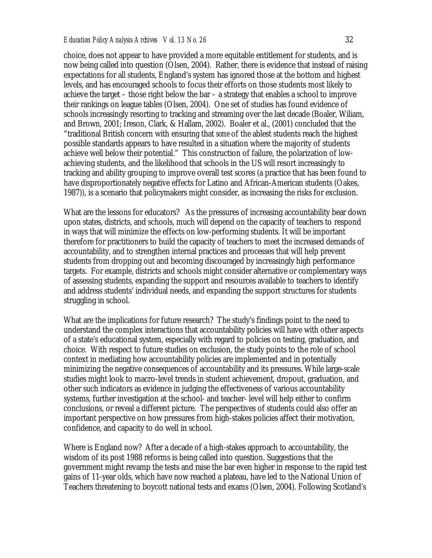choice, does not appear to have provided a more equitable entitlement for students, and is now being called into question (Olsen, 2004). Rather, there is evidence that instead of raising expectations for all students, England's system has ignored those at the bottom and highest levels, and has encouraged schools to focus their efforts on those students most likely to achieve the target – those right below the bar – a strategy that enables a school to improve their rankings on league tables (Olsen, 2004). One set of studies has found evidence of schools increasingly resorting to tracking and streaming over the last decade (Boaler, Wiliam, and Brown, 2001; Ireson, Clark, & Hallam, 2002). Boaler et al., (2001) concluded that the "traditional British concern with ensuring that *some* of the ablest students reach the highest possible standards appears to have resulted in a situation where the majority of students achieve well below their potential." This construction of failure, the polarization of lowachieving students, and the likelihood that schools in the US will resort increasingly to tracking and ability grouping to improve overall test scores (a practice that has been found to have disproportionately negative effects for Latino and African-American students (Oakes, 1987)), is a scenario that policymakers might consider, as increasing the risks for exclusion.

What are the lessons for educators? As the pressures of increasing accountability bear down upon states, districts, and schools, much will depend on the capacity of teachers to respond in ways that will minimize the effects on low-performing students. It will be important therefore for practitioners to build the capacity of teachers to meet the increased demands of accountability, and to strengthen internal practices and processes that will help prevent students from dropping out and becoming discouraged by increasingly high performance targets. For example, districts and schools might consider alternative or complementary ways of assessing students, expanding the support and resources available to teachers to identify and address students' individual needs, and expanding the support structures for students struggling in school.

What are the implications for future research? The study's findings point to the need to understand the complex interactions that accountability policies will have with other aspects of a state's educational system, especially with regard to policies on testing, graduation, and choice. With respect to future studies on exclusion, the study points to the role of school context in mediating how accountability policies are implemented and in potentially minimizing the negative consequences of accountability and its pressures. While large-scale studies might look to macro-level trends in student achievement, dropout, graduation, and other such indicators as evidence in judging the effectiveness of various accountability systems, further investigation at the school- and teacher- level will help either to confirm conclusions, or reveal a different picture. The perspectives of students could also offer an important perspective on how pressures from high-stakes policies affect their motivation, confidence, and capacity to do well in school.

Where is England now? After a decade of a high-stakes approach to accountability, the wisdom of its post 1988 reforms is being called into question. Suggestions that the government might revamp the tests and raise the bar even higher in response to the rapid test gains of 11-year olds, which have now reached a plateau, have led to the National Union of Teachers threatening to boycott national tests and exams (Olsen, 2004). Following Scotland's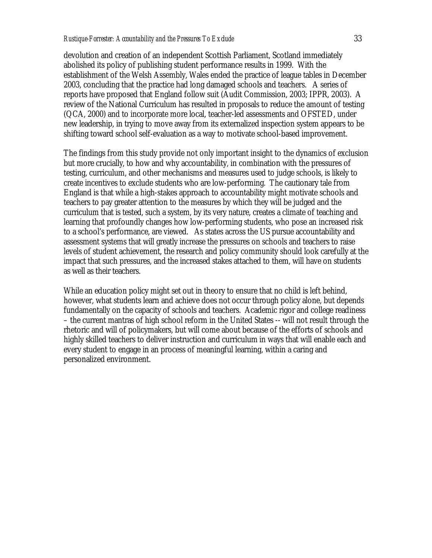devolution and creation of an independent Scottish Parliament, Scotland immediately abolished its policy of publishing student performance results in 1999. With the establishment of the Welsh Assembly, Wales ended the practice of league tables in December 2003, concluding that the practice had long damaged schools and teachers. A series of reports have proposed that England follow suit (Audit Commission, 2003; IPPR, 2003). A review of the National Curriculum has resulted in proposals to reduce the amount of testing (QCA, 2000) and to incorporate more local, teacher-led assessments and OFSTED, under new leadership, in trying to move away from its externalized inspection system appears to be shifting toward school self-evaluation as a way to motivate school-based improvement.

The findings from this study provide not only important insight to the dynamics of exclusion but more crucially, to how and why accountability, in combination with the pressures of testing, curriculum, and other mechanisms and measures used to judge schools, is likely to create incentives to exclude students who are low-performing. The cautionary tale from England is that while a high-stakes approach to accountability might motivate schools and teachers to pay greater attention to the measures by which they will be judged and the curriculum that is tested, such a system, by its very nature, creates a climate of teaching and learning that profoundly changes how low-performing students, who pose an increased risk to a school's performance, are viewed. As states across the US pursue accountability and assessment systems that will greatly increase the pressures on schools and teachers to raise levels of student achievement, the research and policy community should look carefully at the impact that such pressures, and the increased stakes attached to them, will have on students as well as their teachers.

While an education policy might set out in theory to ensure that no child is left behind, however, what students learn and achieve does not occur through policy alone, but depends fundamentally on the capacity of schools and teachers. Academic rigor and college readiness – the current mantras of high school reform in the United States -- will not result through the rhetoric and will of policymakers, but will come about because of the efforts of schools and highly skilled teachers to deliver instruction and curriculum in ways that will enable each and every student to engage in an process of meaningful learning, within a caring and personalized environment.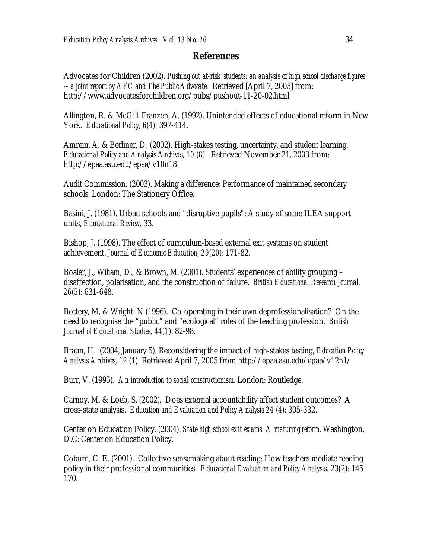#### **References**

Advocates for Children (2002). *Pushing out at-risk students: an analysis of high school discharge figures -- a joint report by AFC and The Public Advocate.* Retrieved [April 7, 2005] from: http://www.advocatesforchildren.org/pubs/pushout-11-20-02.html

Allington, R. & McGill-Franzen, A. (1992). Unintended effects of educational reform in New York. *Educational Policy, 6(4):* 397-414.

Amrein, A. & Berliner, D. (2002). High-stakes testing, uncertainty, and student learning. *Educational Policy and Analysis Archives, 10 (8).* Retrieved November 21, 2003 from: http://epaa.asu.edu/epaa/v10n18

Audit Commission. (2003). Making a difference: Performance of maintained secondary schools. London: The Stationery Office.

Basini, J. (1981). Urban schools and "disruptive pupils": A study of some ILEA support units, *Educational Review,* 33.

Bishop, J. (1998). The effect of curriculum-based external exit systems on student achievement. *Journal of Economic Education, 29(20):* 171-82.

Boaler, J., Wiliam, D., & Brown, M. (2001). Students' experiences of ability grouping – disaffection, polarisation, and the construction of failure. *British Educational Research Journal, 26(5):* 631-648.

Bottery, M, & Wright, N (1996). Co-operating in their own deprofessionalisation? On the need to recognise the "public" and "ecological" roles of the teaching profession. *British Journal of Educational Studies, 44(1*): 82-98.

Braun, H. (2004, January 5). Reconsidering the impact of high-stakes testing, *Education Policy Analysis Archives, 12* (1). Retrieved April 7, 2005 from http://epaa.asu.edu/epaa/v12n1/

Burr, V. (1995). *An introduction to social constructionism.* London: Routledge.

Carnoy, M. & Loeb, S. (2002). Does external accountability affect student outcomes? A cross-state analysis. *Education and Evaluation and Policy Analysis 24 (4):* 305-332.

Center on Education Policy. (2004). *State high school exit exams: A maturing reform.* Washington, D.C: Center on Education Policy.

Coburn, C. E. (2001). Collective sensemaking about reading: How teachers mediate reading policy in their professional communities. *Educational Evaluation and Policy Analysis.* 23(2): 145- 170.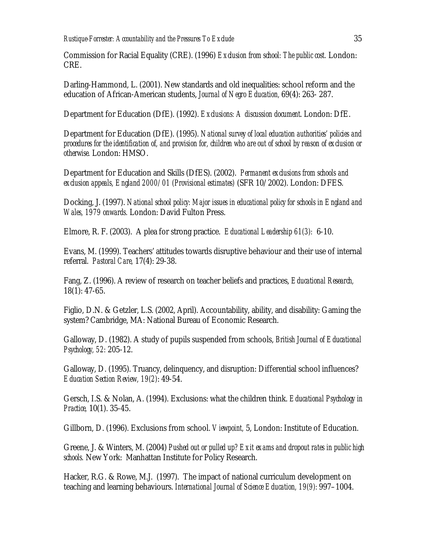Commission for Racial Equality (CRE). (1996) *Exclusion from school: The public cost.* London: CRE.

Darling-Hammond, L. (2001). New standards and old inequalities: school reform and the education of African-American students, *Journal of Negro Education,* 69(4): 263- 287.

Department for Education (DfE). (1992). *Exclusions: A discussion document*. London: DfE.

Department for Education (DfE). (1995). *National survey of local education authorities' policies and procedures for the identification of, and provision for, children who are out of school by reason of exclusion or otherwise.* London: HMSO.

Department for Education and Skills (DfES). (2002). *Permanent exclusions from schools and exclusion appeals, England 2000/01 (Provisional estimates)* (SFR 10/2002). London: DFES.

Docking, J. (1997). *National school policy: Major issues in educational policy for schools in England and Wales, 1979 onwards.* London: David Fulton Press.

Elmore, R. F. (2003). A plea for strong practice. *Educational Leadership 61(3):* 6-10.

Evans, M. (1999). Teachers' attitudes towards disruptive behaviour and their use of internal referral. *Pastoral Care,* 17(4): 29-38.

Fang, Z. (1996). A review of research on teacher beliefs and practices, *Educational Research,*  18(1): 47-65.

Figlio, D.N. & Getzler, L.S. (2002, April). Accountability, ability, and disability: Gaming the system? Cambridge, MA: National Bureau of Economic Research.

Galloway, D. (1982). A study of pupils suspended from schools, *British Journal of Educational Psychology, 52:* 205-12.

Galloway, D. (1995). Truancy, delinquency, and disruption: Differential school influences? *Education Section Review, 19(2)*: 49-54.

Gersch, I.S. & Nolan, A. (1994). Exclusions: what the children think. *Educational Psychology in Practice,* 10(1). 35-45.

Gillborn, D. (1996). Exclusions from school. *Viewpoint,* 5, London: Institute of Education.

Greene, J. & Winters, M. (2004) *Pushed out or pulled up? Exit exams and dropout rates in public high schools.* New York: Manhattan Institute for Policy Research.

Hacker, R.G. & Rowe, M.J. (1997). The impact of national curriculum development on teaching and learning behaviours. *International Journal of Science Education, 19(9):* 997–1004.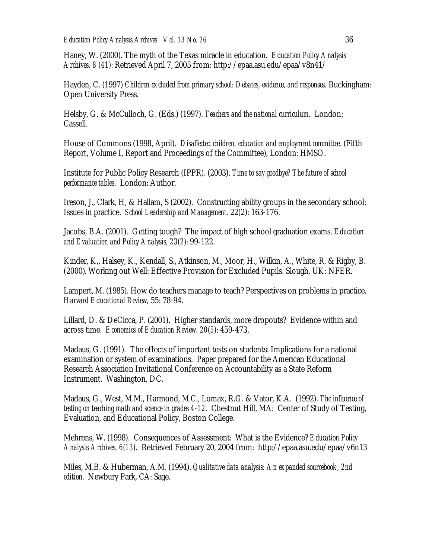Haney, W. (2000). The myth of the Texas miracle in education. *Education Policy Analysis Archives, 8 (41):* Retrieved April 7, 2005 from: http://epaa.asu.edu/epaa/v8n41/

Hayden, C. (1997) *Children excluded from primary school: Debates, evidence, and responses*. Buckingham: Open University Press.

Helsby, G. & McCulloch, G. (Eds.) (1997). *Teachers and the national curriculum.* London: Cassell.

House of Commons (1998, April). *Disaffected children, education and employment committee.* (Fifth Report, Volume I, Report and Proceedings of the Committee), London: HMSO.

Institute for Public Policy Research (IPPR). (2003). *Time to say goodbye? The future of school performance tables*. London: Author.

Ireson, J., Clark, H, & Hallam, S (2002). Constructing ability groups in the secondary school: Issues in practice. *School Leadership and Management.* 22(2): 163-176.

Jacobs, B.A. (2001). Getting tough? The impact of high school graduation exams. *Education and Evaluation and Policy Analysis, 23(2):* 99-122.

Kinder, K,, Halsey, K., Kendall, S., Atkinson, M., Moor, H., Wilkin, A., White, R. & Rigby, B. (2000)*.* Working out Well: Effective Provision for Excluded Pupils. Slough, UK: NFER.

Lampert, M. (1985). How do teachers manage to teach? Perspectives on problems in practice. *Harvard Educational Review,* 55: 78-94.

Lillard, D. & DeCicca, P. (2001). Higher standards, more dropouts? Evidence within and across time. *Economics of Education Review. 20(5):* 459-473.

Madaus, G. (1991). The effects of important tests on students: Implications for a national examination or system of examinations. Paper prepared for the American Educational Research Association Invitational Conference on Accountability as a State Reform Instrument. Washington, DC.

Madaus, G., West, M.M., Harmond, M.C., Lomax, R.G. & Vator, K.A. (1992). *The influence of testing on teaching math and science in grades 4-12.* Chestnut Hill, MA: Center of Study of Testing, Evaluation, and Educational Policy, Boston College.

Mehrens, W. (1998). Consequences of Assessment: What is the Evidence? *Education Policy Analysis Archives, 6(13).* Retrieved February 20, 2004 from: http://epaa.asu.edu/epaa/v6n13

Miles, M.B. & Huberman, A.M. (1994). *Qualitative data analysis: An expanded sourcebook, 2nd edition.* Newbury Park, CA: Sage.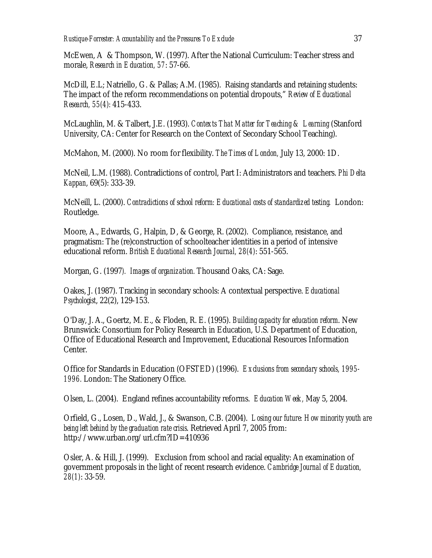McEwen, A & Thompson, W. (1997). After the National Curriculum: Teacher stress and morale, *Research in Education, 57*: 57-66.

McDill, E.L; Natriello, G. & Pallas; A.M. (1985). Raising standards and retaining students: The impact of the reform recommendations on potential dropouts," *Review of Educational Research, 55(4):* 415-433.

McLaughlin, M. & Talbert, J.E. (1993). *Contexts That Matter for Teaching & Learning* (Stanford University, CA: Center for Research on the Context of Secondary School Teaching).

McMahon, M. (2000). No room for flexibility. *The Times of London,* July 13, 2000: 1D.

McNeil, L.M. (1988). Contradictions of control, Part I: Administrators and teachers. *Phi Delta Kappan*, 69(5): 333-39.

McNeill, L. (2000). *Contradictions of school reform: Educational costs of standardized testing.* London: Routledge.

Moore, A., Edwards, G, Halpin, D, & George, R. (2002). Compliance, resistance, and pragmatism: The (re)construction of schoolteacher identities in a period of intensive educational reform. *British Educational Research Journal, 28(4)*: 551-565.

Morgan, G. (1997*). Images of organization.* Thousand Oaks, CA: Sage.

Oakes, J. (1987). Tracking in secondary schools: A contextual perspective. *Educational Psychologist*, 22(2), 129-153.

O'Day, J. A., Goertz, M. E., & Floden, R. E. (1995). *Building capacity for education reform*. New Brunswick: Consortium for Policy Research in Education, U.S. Department of Education, Office of Educational Research and Improvement, Educational Resources Information Center.

Office for Standards in Education (OFSTED) (1996). *Exclusions from secondary schools, 1995- 1996.* London: The Stationery Office.

Olsen, L. (2004). England refines accountability reforms. *Education Week,* May 5, 2004.

Orfield, G., Losen, D., Wald, J., & Swanson, C.B. (2004). *Losing our future: How minority youth are being left behind by the graduation rate crisis*. Retrieved April 7, 2005 from: http://www.urban.org/url.cfm?ID=410936

Osler, A. & Hill, J. (1999). Exclusion from school and racial equality: An examination of government proposals in the light of recent research evidence. *Cambridge Journal of Education, 28(1)*: 33-59.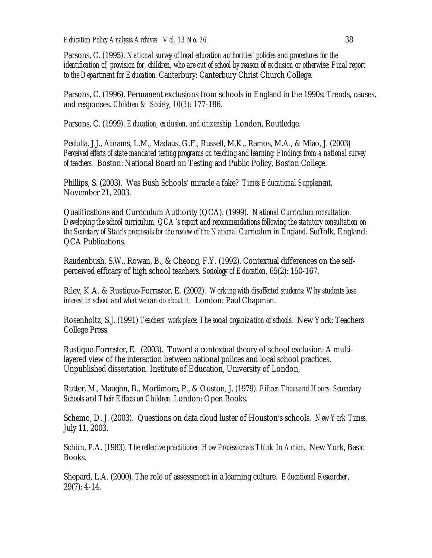Parsons, C. (1995). *National survey of local education authorities' policies and procedures for the identification of, provision for, children, who are out of school by reason of exclusion or otherwise: Final report to the Department for Education.* Canterbury: Canterbury Christ Church College.

Parsons, C. (1996). Permanent exclusions from schools in England in the 1990s: Trends, causes, and responses. *Children & Society, 10(3)*: 177-186.

Parsons, C. (1999). *Education, exclusion, and citizenship.* London, Routledge.

Pedulla, J.J., Abrams, L.M., Madaus, G.F., Russell, M.K., Ramos, M.A., & Miao, J. (2003) *Perceived effects of state-mandated testing programs on teaching and learning: Findings from a national survey of teachers.* Boston: National Board on Testing and Public Policy, Boston College.

Phillips, S. (2003). Was Bush Schools' miracle a fake? *Times Educational Supplement,* November 21, 2003.

Qualifications and Curriculum Authority (QCA). (1999). *National Curriculum consultation: Developing the school curriculum. QCA's report and recommendations following the statutory consultation on the Secretary of State's proposals for the review of the National Curriculum in England.* Suffolk, England: QCA Publications.

Raudenbush, S.W., Rowan, B., & Cheong, F.Y. (1992). Contextual differences on the selfperceived efficacy of high school teachers. *Sociology of Education,* 65(2): 150-167.

Riley, K.A. & Rustique-Forrester, E. (2002). *Working with disaffected students: Why students lose interest in school and what we can do about it.* London: Paul Chapman.

Rosenholtz, S.J. (1991) *Teachers' workplace: The social organization of schools.* New York: Teachers College Press.

Rustique-Forrester, E. (2003). Toward a contextual theory of school exclusion: A multilayered view of the interaction between national polices and local school practices. Unpublished dissertation. Institute of Education, University of London,

Rutter, M., Maughn, B., Mortimore, P., & Ouston, J. (1979). *Fifteen Thousand Hours: Secondary Schools and Their Effects on Children.* London: Open Books.

Schemo, D. J. (2003). Questions on data cloud luster of Houston's schools. *New York Times,* July 11, 2003.

Schön, P.A. (1983). *The reflective practitioner: How Professionals Think In Action.* New York, Basic Books.

Shepard, L.A. (2000). The role of assessment in a learning culture*. Educational Researcher*, 29(7): 4-14.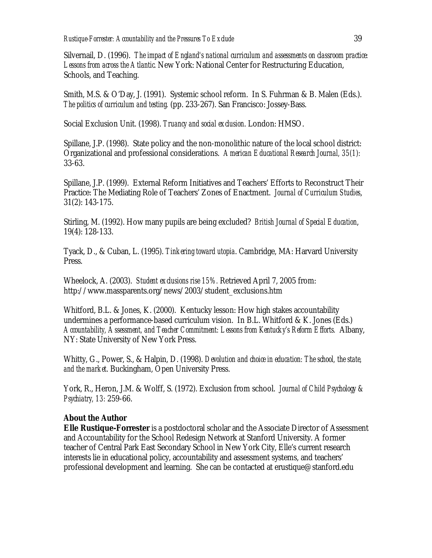Silvernail, D. (1996). *The impact of England's national curriculum and assessments on classroom practice: Lessons from across the Atlantic.* New York: National Center for Restructuring Education, Schools, and Teaching.

Smith, M.S. & O'Day, J. (1991). Systemic school reform. In S. Fuhrman & B. Malen (Eds.). *The politics of curriculum and testing.* (pp. 233-267). San Francisco: Jossey-Bass.

Social Exclusion Unit. (1998). *Truancy and social exclusion*. London: HMSO.

Spillane, J.P. (1998). State policy and the non-monolithic nature of the local school district: Organizational and professional considerations. *American Educational Research Journal, 35(1):*  33-63.

Spillane, J.P. (1999). External Reform Initiatives and Teachers' Efforts to Reconstruct Their Practice: The Mediating Role of Teachers' Zones of Enactment. *Journal of Curriculum Studies*, 31(2): 143-175.

Stirling, M. (1992). How many pupils are being excluded? *British Journal of Special Education*, 19(4): 128-133.

Tyack, D., & Cuban, L. (1995). *Tinkering toward utopia*. Cambridge, MA: Harvard University Press.

Wheelock, A. (2003). *Student exclusions rise 15%.* Retrieved April 7, 2005 from: http://www.massparents.org/news/2003/student\_exclusions.htm

Whitford, B.L. & Jones, K. (2000). Kentucky lesson: How high stakes accountability undermines a performance-based curriculum vision. In B.L. Whitford & K. Jones (Eds.) *Accountability, Assessment, and Teacher Commitment: Lessons from Kentucky's Reform Efforts.* Albany, NY: State University of New York Press.

Whitty, G., Power, S., & Halpin, D. (1998). *Devolution and choice in education: The school, the state, and the market*. Buckingham, Open University Press.

York, R., Heron, J.M. & Wolff, S. (1972). Exclusion from school. *Journal of Child Psychology & Psychiatry, 13:* 259-66.

## **About the Author**

**Elle Rustique-Forrester** is a postdoctoral scholar and the Associate Director of Assessment and Accountability for the School Redesign Network at Stanford University. A former teacher of Central Park East Secondary School in New York City, Elle's current research interests lie in educational policy, accountability and assessment systems, and teachers' professional development and learning. She can be contacted at erustique@stanford.edu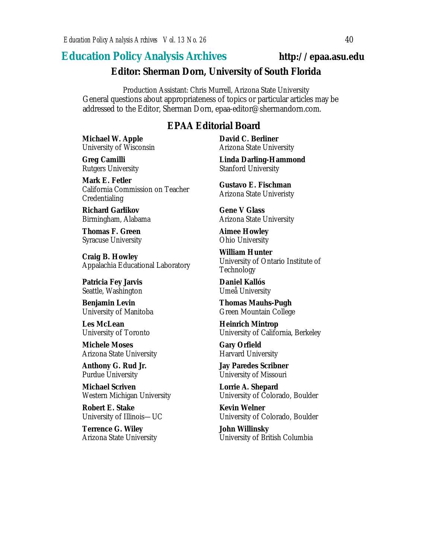# **Education Policy Analysis Archives http://epaa.asu.edu**

#### **Editor: Sherman Dorn, University of South Florida**

Production Assistant: Chris Murrell, Arizona State University General questions about appropriateness of topics or particular articles may be addressed to the Editor, Sherman Dorn, epaa-editor@shermandorn.com.

# *EPAA* **Editorial Board**

**Michael W. Apple** University of Wisconsin

**Greg Camilli** Rutgers University

**Mark E. Fetler** California Commission on Teacher Credentialing

**Richard Garlikov** Birmingham, Alabama

**Thomas F. Green** Syracuse University

**Craig B. Howley** Appalachia Educational Laboratory

**Patricia Fey Jarvis**  Seattle, Washington

**Benjamin Levin** University of Manitoba

**Les McLean** University of Toronto

**Michele Moses** Arizona State University

**Anthony G. Rud Jr.** Purdue University

**Michael Scriven** Western Michigan University

**Robert E. Stake**  University of Illinois—UC

**Terrence G. Wiley** Arizona State University **David C. Berliner**  Arizona State University

**Linda Darling-Hammond**  Stanford University

**Gustavo E. Fischman** Arizona State Univeristy

**Gene V Glass** Arizona State University

**Aimee Howley** Ohio University

**William Hunter** University of Ontario Institute of Technology

**Daniel Kallós** Umeå University

**Thomas Mauhs-Pugh** Green Mountain College

**Heinrich Mintrop**  University of California, Berkeley

**Gary Orfield** Harvard University

**Jay Paredes Scribner** University of Missouri

**Lorrie A. Shepard** University of Colorado, Boulder

**Kevin Welner** University of Colorado, Boulder

**John Willinsky** University of British Columbia